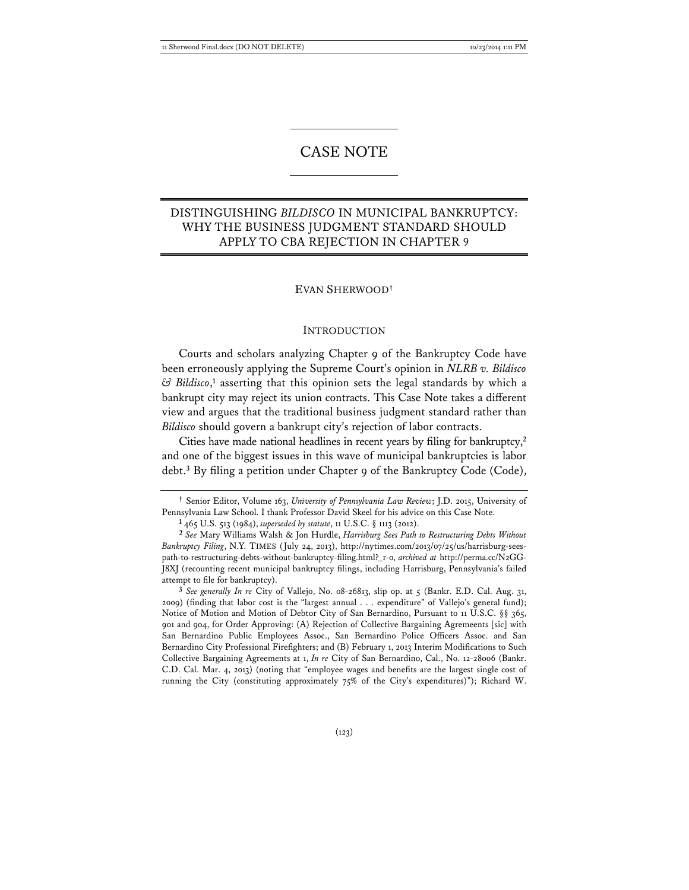# CASE NOTE

## DISTINGUISHING *BILDISCO* IN MUNICIPAL BANKRUPTCY: WHY THE BUSINESS JUDGMENT STANDARD SHOULD APPLY TO CBA REJECTION IN CHAPTER 9

#### EVAN SHERWOOD**†**

#### **INTRODUCTION**

Courts and scholars analyzing Chapter 9 of the Bankruptcy Code have been erroneously applying the Supreme Court's opinion in *NLRB v. Bildisco & Bildisco*, **1** asserting that this opinion sets the legal standards by which a bankrupt city may reject its union contracts. This Case Note takes a different view and argues that the traditional business judgment standard rather than *Bildisco* should govern a bankrupt city's rejection of labor contracts.

Cities have made national headlines in recent years by filing for bankruptcy,**<sup>2</sup>** and one of the biggest issues in this wave of municipal bankruptcies is labor debt.**<sup>3</sup>** By filing a petition under Chapter 9 of the Bankruptcy Code (Code),

**3** *See generally In re* City of Vallejo, No. 08-26813, slip op. at 5 (Bankr. E.D. Cal. Aug. 31, 2009) (finding that labor cost is the "largest annual . . . expenditure" of Vallejo's general fund); Notice of Motion and Motion of Debtor City of San Bernardino, Pursuant to 11 U.S.C. §§ 365, 901 and 904, for Order Approving: (A) Rejection of Collective Bargaining Agremeents [sic] with San Bernardino Public Employees Assoc., San Bernardino Police Officers Assoc. and San Bernardino City Professional Firefighters; and (B) February 1, 2013 Interim Modifications to Such Collective Bargaining Agreements at 1, *In re* City of San Bernardino, Cal., No. 12-28006 (Bankr. C.D. Cal. Mar. 4, 2013) (noting that "employee wages and benefits are the largest single cost of running the City (constituting approximately 75% of the City's expenditures)"); Richard W.

**<sup>†</sup>** Senior Editor, Volume 163, *University of Pennsylvania Law Review*; J.D. 2015, University of Pennsylvania Law School. I thank Professor David Skeel for his advice on this Case Note.

**<sup>1</sup>** 465 U.S. 513 (1984), *superseded by statute*, 11 U.S.C. § 1113 (2012).

**<sup>2</sup>** *See* Mary Williams Walsh & Jon Hurdle, *Harrisburg Sees Path to Restructuring Debts Without Bankruptcy Filing*, N.Y. TIMES (July 24, 2013), http://nytimes.com/2013/07/25/us/harrisburg-seespath-to-restructuring-debts-without-bankruptcy-filing.html?\_r-0, *archived at* http://perma.cc/N2GG-J8XJ (recounting recent municipal bankruptcy filings, including Harrisburg, Pennsylvania's failed attempt to file for bankruptcy).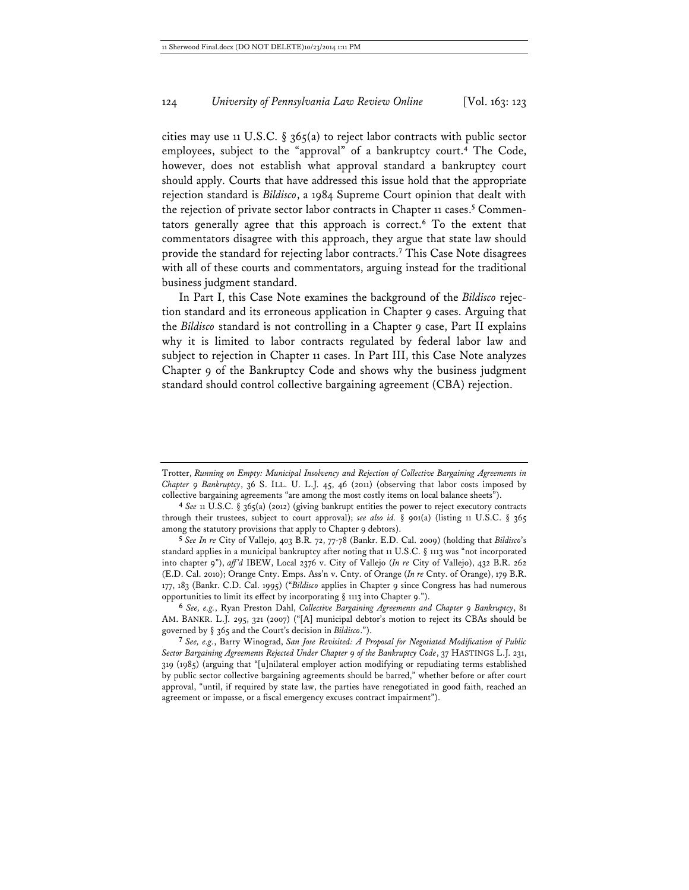cities may use 11 U.S.C. § 365(a) to reject labor contracts with public sector employees, subject to the "approval" of a bankruptcy court.**<sup>4</sup>** The Code, however, does not establish what approval standard a bankruptcy court should apply. Courts that have addressed this issue hold that the appropriate rejection standard is *Bildisco*, a 1984 Supreme Court opinion that dealt with the rejection of private sector labor contracts in Chapter 11 cases.**<sup>5</sup>** Commentators generally agree that this approach is correct.**<sup>6</sup>** To the extent that commentators disagree with this approach, they argue that state law should provide the standard for rejecting labor contracts.**<sup>7</sup>** This Case Note disagrees with all of these courts and commentators, arguing instead for the traditional business judgment standard.

In Part I, this Case Note examines the background of the *Bildisco* rejection standard and its erroneous application in Chapter 9 cases. Arguing that the *Bildisco* standard is not controlling in a Chapter 9 case, Part II explains why it is limited to labor contracts regulated by federal labor law and subject to rejection in Chapter 11 cases. In Part III, this Case Note analyzes Chapter 9 of the Bankruptcy Code and shows why the business judgment standard should control collective bargaining agreement (CBA) rejection.

**5** *See In re* City of Vallejo, 403 B.R. 72, 77-78 (Bankr. E.D. Cal. 2009) (holding that *Bildisco*'s standard applies in a municipal bankruptcy after noting that 11 U.S.C. § 1113 was "not incorporated into chapter 9"), *aff'd* IBEW, Local 2376 v. City of Vallejo (*In re* City of Vallejo), 432 B.R. 262 (E.D. Cal. 2010); Orange Cnty. Emps. Ass'n v. Cnty. of Orange (*In re* Cnty. of Orange), 179 B.R. 177, 183 (Bankr. C.D. Cal. 1995) ("*Bildisco* applies in Chapter 9 since Congress has had numerous opportunities to limit its effect by incorporating § 1113 into Chapter 9.").

**6** *See, e.g.*, Ryan Preston Dahl, *Collective Bargaining Agreements and Chapter 9 Bankruptcy*, 81 AM. BANKR. L.J. 295, 321 (2007) ("[A] municipal debtor's motion to reject its CBAs should be governed by § 365 and the Court's decision in *Bildisco*.").

**7** *See, e.g.*, Barry Winograd, *San Jose Revisited: A Proposal for Negotiated Modification of Public Sector Bargaining Agreements Rejected Under Chapter 9 of the Bankruptcy Code*, 37 HASTINGS L.J. 231, 319 (1985) (arguing that "[u]nilateral employer action modifying or repudiating terms established by public sector collective bargaining agreements should be barred," whether before or after court approval, "until, if required by state law, the parties have renegotiated in good faith, reached an agreement or impasse, or a fiscal emergency excuses contract impairment").

Trotter, *Running on Empty: Municipal Insolvency and Rejection of Collective Bargaining Agreements in Chapter 9 Bankruptcy*, 36 S. ILL. U. L.J. 45, 46 (2011) (observing that labor costs imposed by collective bargaining agreements "are among the most costly items on local balance sheets").

**<sup>4</sup>** *See* 11 U.S.C. § 365(a) (2012) (giving bankrupt entities the power to reject executory contracts through their trustees, subject to court approval); *see also id.* § 901(a) (listing 11 U.S.C. § 365 among the statutory provisions that apply to Chapter 9 debtors).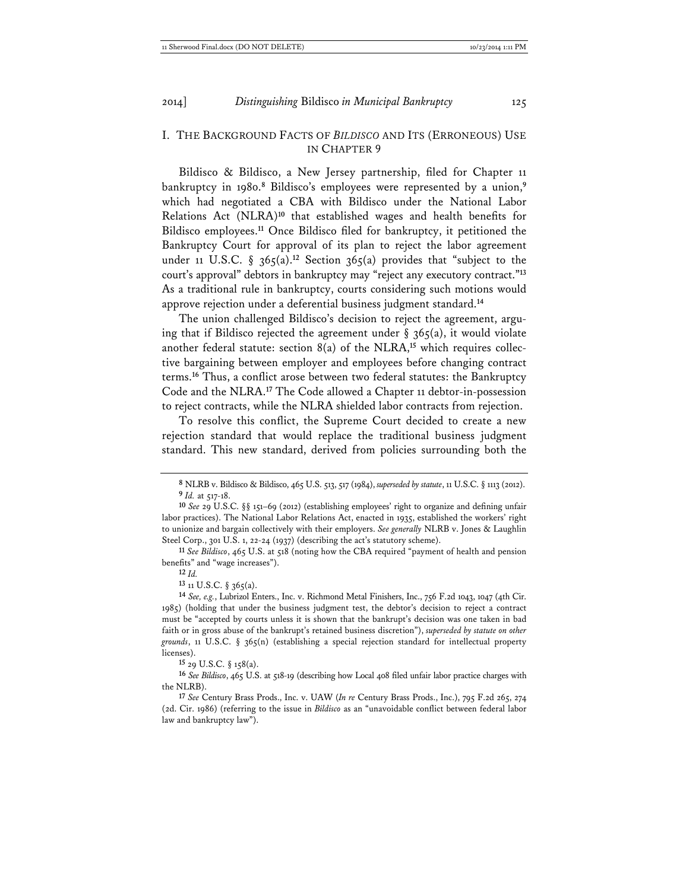#### I. THE BACKGROUND FACTS OF *BILDISCO* AND ITS (ERRONEOUS) USE IN CHAPTER 9

Bildisco & Bildisco, a New Jersey partnership, filed for Chapter 11 bankruptcy in 1980.**<sup>8</sup>** Bildisco's employees were represented by a union,**<sup>9</sup>** which had negotiated a CBA with Bildisco under the National Labor Relations Act (NLRA)**<sup>10</sup>** that established wages and health benefits for Bildisco employees.**<sup>11</sup>** Once Bildisco filed for bankruptcy, it petitioned the Bankruptcy Court for approval of its plan to reject the labor agreement under 11 U.S.C. § 365(a).<sup>12</sup> Section 365(a) provides that "subject to the court's approval" debtors in bankruptcy may "reject any executory contract."**<sup>13</sup>** As a traditional rule in bankruptcy, courts considering such motions would approve rejection under a deferential business judgment standard.**<sup>14</sup>**

The union challenged Bildisco's decision to reject the agreement, arguing that if Bildisco rejected the agreement under  $\S$  365(a), it would violate another federal statute: section 8(a) of the NLRA,**15** which requires collective bargaining between employer and employees before changing contract terms.**<sup>16</sup>** Thus, a conflict arose between two federal statutes: the Bankruptcy Code and the NLRA.**<sup>17</sup>** The Code allowed a Chapter 11 debtor-in-possession to reject contracts, while the NLRA shielded labor contracts from rejection.

To resolve this conflict, the Supreme Court decided to create a new rejection standard that would replace the traditional business judgment standard. This new standard, derived from policies surrounding both the

**13** 11 U.S.C. § 365(a).

**15** 29 U.S.C. § 158(a).

**16** *See Bildisco*, 465 U.S. at 518-19 (describing how Local 408 filed unfair labor practice charges with the NLRB).

**17** *See* Century Brass Prods., Inc. v. UAW (*In re* Century Brass Prods., Inc.), 795 F.2d 265, 274 (2d. Cir. 1986) (referring to the issue in *Bildisco* as an "unavoidable conflict between federal labor law and bankruptcy law").

**<sup>8</sup>** NLRB v. Bildisco & Bildisco, 465 U.S. 513, 517 (1984), *superseded by statute*, 11 U.S.C. § 1113 (2012). **9** *Id.* at 517-18.

**<sup>10</sup>** *See* 29 U.S.C. §§ 151–69 (2012) (establishing employees' right to organize and defining unfair labor practices). The National Labor Relations Act, enacted in 1935, established the workers' right to unionize and bargain collectively with their employers. *See generally* NLRB v. Jones & Laughlin Steel Corp., 301 U.S. 1, 22-24 (1937) (describing the act's statutory scheme).

**<sup>11</sup>** *See Bildisco*, 465 U.S. at 518 (noting how the CBA required "payment of health and pension benefits" and "wage increases").

**<sup>12</sup>** *Id.*

**<sup>14</sup>** *See, e.g.*, Lubrizol Enters., Inc. v. Richmond Metal Finishers, Inc., 756 F.2d 1043, 1047 (4th Cir. 1985) (holding that under the business judgment test, the debtor's decision to reject a contract must be "accepted by courts unless it is shown that the bankrupt's decision was one taken in bad faith or in gross abuse of the bankrupt's retained business discretion"), *superseded by statute on other grounds*, 11 U.S.C. § 365(n) (establishing a special rejection standard for intellectual property licenses).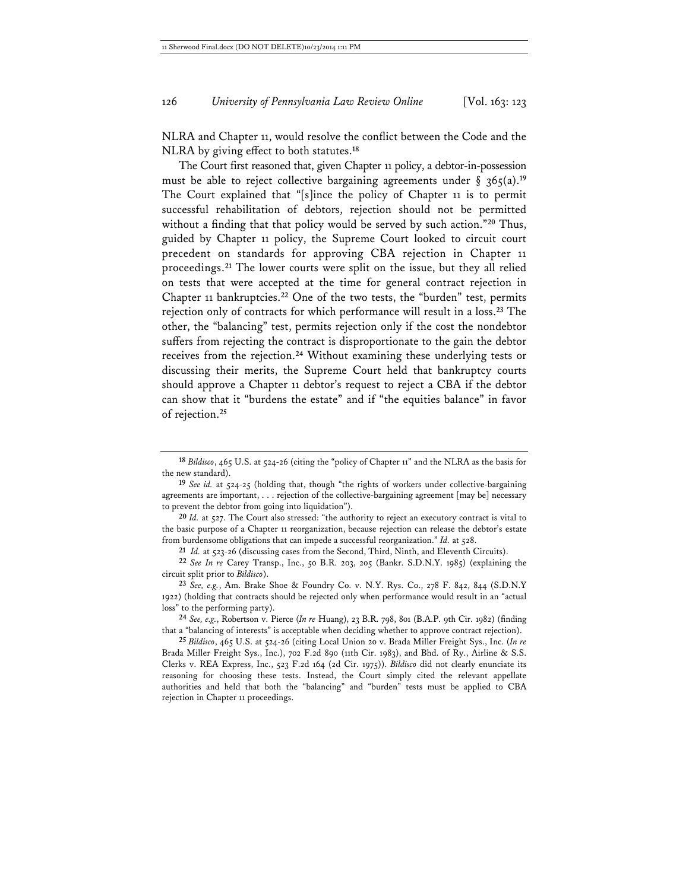NLRA and Chapter 11, would resolve the conflict between the Code and the NLRA by giving effect to both statutes.**<sup>18</sup>**

The Court first reasoned that, given Chapter 11 policy, a debtor-in-possession must be able to reject collective bargaining agreements under  $\S$  365(a).<sup>19</sup> The Court explained that "[s]ince the policy of Chapter 11 is to permit successful rehabilitation of debtors, rejection should not be permitted without a finding that that policy would be served by such action."**<sup>20</sup>** Thus, guided by Chapter 11 policy, the Supreme Court looked to circuit court precedent on standards for approving CBA rejection in Chapter 11 proceedings.**<sup>21</sup>** The lower courts were split on the issue, but they all relied on tests that were accepted at the time for general contract rejection in Chapter 11 bankruptcies.**<sup>22</sup>** One of the two tests, the "burden" test, permits rejection only of contracts for which performance will result in a loss.**<sup>23</sup>** The other, the "balancing" test, permits rejection only if the cost the nondebtor suffers from rejecting the contract is disproportionate to the gain the debtor receives from the rejection.**<sup>24</sup>** Without examining these underlying tests or discussing their merits, the Supreme Court held that bankruptcy courts should approve a Chapter 11 debtor's request to reject a CBA if the debtor can show that it "burdens the estate" and if "the equities balance" in favor of rejection.**<sup>25</sup>**

**21** *Id.* at 523-26 (discussing cases from the Second, Third, Ninth, and Eleventh Circuits).

**<sup>18</sup>** *Bildisco*, 465 U.S. at 524-26 (citing the "policy of Chapter 11" and the NLRA as the basis for the new standard).

**<sup>19</sup>** *See id.* at 524-25 (holding that, though "the rights of workers under collective-bargaining agreements are important, . . . rejection of the collective-bargaining agreement [may be] necessary to prevent the debtor from going into liquidation").

**<sup>20</sup>** *Id.* at 527. The Court also stressed: "the authority to reject an executory contract is vital to the basic purpose of a Chapter 11 reorganization, because rejection can release the debtor's estate from burdensome obligations that can impede a successful reorganization." *Id.* at 528.

**<sup>22</sup>** *See In re* Carey Transp., Inc., 50 B.R. 203, 205 (Bankr. S.D.N.Y. 1985) (explaining the circuit split prior to *Bildisco*).

**<sup>23</sup>** *See, e.g.*, Am. Brake Shoe & Foundry Co. v. N.Y. Rys. Co., 278 F. 842, 844 (S.D.N.Y 1922) (holding that contracts should be rejected only when performance would result in an "actual loss" to the performing party).

**<sup>24</sup>** *See, e.g.*, Robertson v. Pierce (*In re* Huang), 23 B.R. 798, 801 (B.A.P. 9th Cir. 1982) (finding that a "balancing of interests" is acceptable when deciding whether to approve contract rejection).

**<sup>25</sup>** *Bildisco*, 465 U.S. at 524-26 (citing Local Union 20 v. Brada Miller Freight Sys., Inc. (*In re* Brada Miller Freight Sys., Inc.), 702 F.2d 890 (11th Cir. 1983), and Bhd. of Ry., Airline & S.S. Clerks v. REA Express, Inc., 523 F.2d 164 (2d Cir. 1975)). *Bildisco* did not clearly enunciate its reasoning for choosing these tests. Instead, the Court simply cited the relevant appellate authorities and held that both the "balancing" and "burden" tests must be applied to CBA rejection in Chapter 11 proceedings.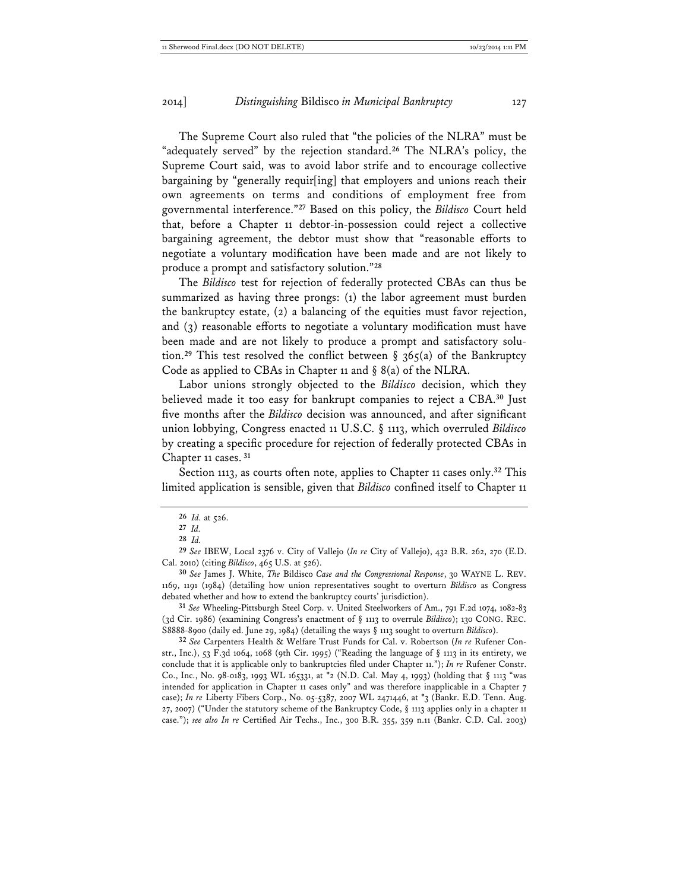The Supreme Court also ruled that "the policies of the NLRA" must be "adequately served" by the rejection standard.**<sup>26</sup>** The NLRA's policy, the Supreme Court said, was to avoid labor strife and to encourage collective bargaining by "generally requir[ing] that employers and unions reach their own agreements on terms and conditions of employment free from governmental interference."**<sup>27</sup>** Based on this policy, the *Bildisco* Court held that, before a Chapter 11 debtor-in-possession could reject a collective bargaining agreement, the debtor must show that "reasonable efforts to negotiate a voluntary modification have been made and are not likely to produce a prompt and satisfactory solution."**<sup>28</sup>**

The *Bildisco* test for rejection of federally protected CBAs can thus be summarized as having three prongs: (1) the labor agreement must burden the bankruptcy estate, (2) a balancing of the equities must favor rejection, and (3) reasonable efforts to negotiate a voluntary modification must have been made and are not likely to produce a prompt and satisfactory solution.<sup>29</sup> This test resolved the conflict between  $\S$  365(a) of the Bankruptcy Code as applied to CBAs in Chapter 11 and § 8(a) of the NLRA.

Labor unions strongly objected to the *Bildisco* decision, which they believed made it too easy for bankrupt companies to reject a CBA.**<sup>30</sup>** Just five months after the *Bildisco* decision was announced, and after significant union lobbying, Congress enacted 11 U.S.C. § 1113, which overruled *Bildisco* by creating a specific procedure for rejection of federally protected CBAs in Chapter 11 cases.**<sup>31</sup>**

Section 1113, as courts often note, applies to Chapter 11 cases only.**<sup>32</sup>** This limited application is sensible, given that *Bildisco* confined itself to Chapter 11

**<sup>26</sup>** *Id.* at 526.

**<sup>27</sup>** *Id.*

**<sup>28</sup>** *Id.*

**<sup>29</sup>** *See* IBEW, Local 2376 v. City of Vallejo (*In re* City of Vallejo), 432 B.R. 262, 270 (E.D. Cal. 2010) (citing *Bildisco*, 465 U.S. at 526).

**<sup>30</sup>** *See* James J. White, *The* Bildisco *Case and the Congressional Response*, 30 WAYNE L. REV. 1169, 1191 (1984) (detailing how union representatives sought to overturn *Bildisco* as Congress debated whether and how to extend the bankruptcy courts' jurisdiction).

**<sup>31</sup>** *See* Wheeling-Pittsburgh Steel Corp. v. United Steelworkers of Am., 791 F.2d 1074, 1082-83 (3d Cir. 1986) (examining Congress's enactment of § 1113 to overrule *Bildisco*); 130 CONG. REC. S8888-8900 (daily ed. June 29, 1984) (detailing the ways § 1113 sought to overturn *Bildisco*).

**<sup>32</sup>** *See* Carpenters Health & Welfare Trust Funds for Cal. v. Robertson (*In re* Rufener Constr., Inc.), 53 F.3d 1064, 1068 (9th Cir. 1995) ("Reading the language of § 1113 in its entirety, we conclude that it is applicable only to bankruptcies filed under Chapter 11."); *In re* Rufener Constr. Co., Inc., No. 98-0183, 1993 WL 165331, at \*2 (N.D. Cal. May 4, 1993) (holding that § 1113 "was intended for application in Chapter 11 cases only" and was therefore inapplicable in a Chapter 7 case); *In re* Liberty Fibers Corp., No. 05-5387, 2007 WL 2471446, at \*3 (Bankr. E.D. Tenn. Aug. 27, 2007) ("Under the statutory scheme of the Bankruptcy Code, § 1113 applies only in a chapter 11 case."); *see also In re* Certified Air Techs., Inc., 300 B.R. 355, 359 n.11 (Bankr. C.D. Cal. 2003)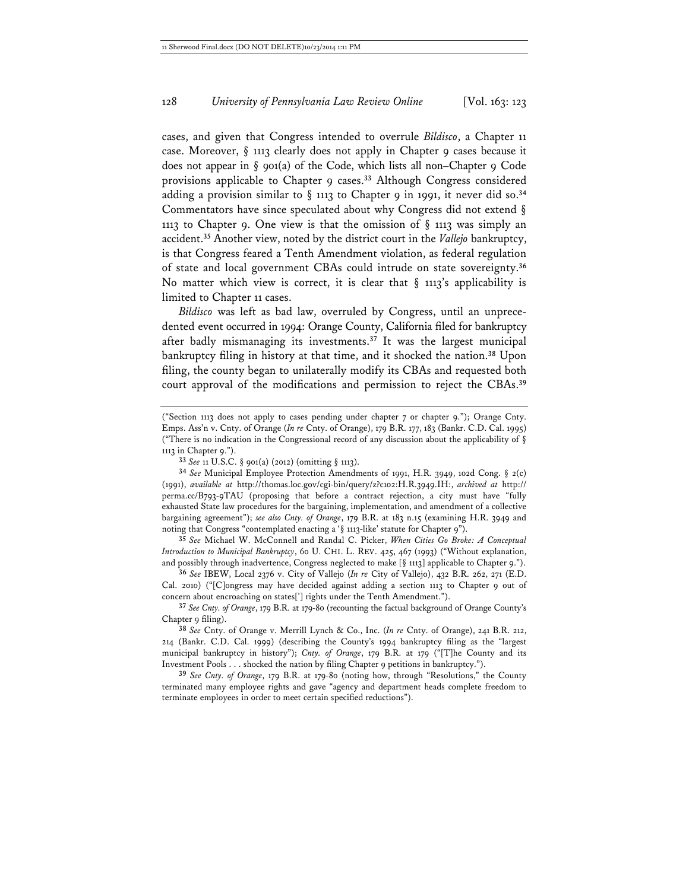cases, and given that Congress intended to overrule *Bildisco*, a Chapter 11 case. Moreover, § 1113 clearly does not apply in Chapter 9 cases because it does not appear in § 901(a) of the Code, which lists all non–Chapter 9 Code provisions applicable to Chapter 9 cases.**<sup>33</sup>** Although Congress considered adding a provision similar to § 1113 to Chapter 9 in 1991, it never did so.**<sup>34</sup>** Commentators have since speculated about why Congress did not extend § 1113 to Chapter 9. One view is that the omission of  $\S$  1113 was simply an accident.**<sup>35</sup>** Another view, noted by the district court in the *Vallejo* bankruptcy, is that Congress feared a Tenth Amendment violation, as federal regulation of state and local government CBAs could intrude on state sovereignty.**<sup>36</sup>** No matter which view is correct, it is clear that  $\S$  1113's applicability is limited to Chapter 11 cases.

*Bildisco* was left as bad law, overruled by Congress, until an unprecedented event occurred in 1994: Orange County, California filed for bankruptcy after badly mismanaging its investments.**<sup>37</sup>** It was the largest municipal bankruptcy filing in history at that time, and it shocked the nation.**<sup>38</sup>** Upon filing, the county began to unilaterally modify its CBAs and requested both court approval of the modifications and permission to reject the CBAs.**<sup>39</sup>**

**35** *See* Michael W. McConnell and Randal C. Picker, *When Cities Go Broke: A Conceptual Introduction to Municipal Bankruptcy*, 60 U. CHI. L. REV. 425, 467 (1993) ("Without explanation, and possibly through inadvertence, Congress neglected to make  $\lceil \S$  1113] applicable to Chapter 9.").

**36** *See* IBEW, Local 2376 v. City of Vallejo (*In re* City of Vallejo), 432 B.R. 262, 271 (E.D. Cal. 2010) ("[C]ongress may have decided against adding a section 1113 to Chapter 9 out of concern about encroaching on states['] rights under the Tenth Amendment.").

**37** *See Cnty. of Orange*, 179 B.R. at 179-80 (recounting the factual background of Orange County's Chapter 9 filing).

**38** *See* Cnty. of Orange v. Merrill Lynch & Co., Inc. (*In re* Cnty. of Orange), 241 B.R. 212, 214 (Bankr. C.D. Cal. 1999) (describing the County's 1994 bankruptcy filing as the "largest municipal bankruptcy in history"); *Cnty. of Orange*, 179 B.R. at 179 ("[T]he County and its Investment Pools . . . shocked the nation by filing Chapter 9 petitions in bankruptcy.").

**39** *See Cnty. of Orange*, 179 B.R. at 179-80 (noting how, through "Resolutions," the County terminated many employee rights and gave "agency and department heads complete freedom to terminate employees in order to meet certain specified reductions").

<sup>(&</sup>quot;Section 1113 does not apply to cases pending under chapter 7 or chapter 9."); Orange Cnty. Emps. Ass'n v. Cnty. of Orange (*In re* Cnty. of Orange), 179 B.R. 177, 183 (Bankr. C.D. Cal. 1995) ("There is no indication in the Congressional record of any discussion about the applicability of  $\S$ 1113 in Chapter 9.").

**<sup>33</sup>** *See* 11 U.S.C. § 901(a) (2012) (omitting § 1113).

**<sup>34</sup>** *See* Municipal Employee Protection Amendments of 1991, H.R. 3949, 102d Cong. § 2(c) (1991), *available at* http://thomas.loc.gov/cgi-bin/query/z?c102:H.R.3949.IH:, *archived at* http:// perma.cc/B793-9TAU (proposing that before a contract rejection, a city must have "fully exhausted State law procedures for the bargaining, implementation, and amendment of a collective bargaining agreement"); *see also Cnty. of Orange*, 179 B.R. at 183 n.15 (examining H.R. 3949 and noting that Congress "contemplated enacting a '§ 1113-like' statute for Chapter 9").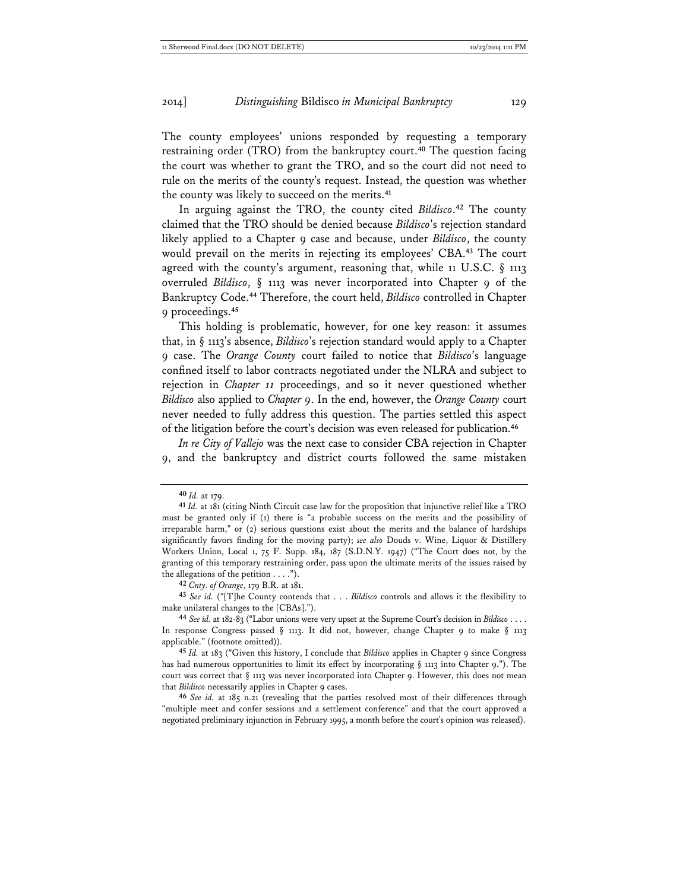The county employees' unions responded by requesting a temporary restraining order (TRO) from the bankruptcy court.**<sup>40</sup>** The question facing the court was whether to grant the TRO, and so the court did not need to rule on the merits of the county's request. Instead, the question was whether the county was likely to succeed on the merits.**<sup>41</sup>**

In arguing against the TRO, the county cited *Bildisco*. **<sup>42</sup>** The county claimed that the TRO should be denied because *Bildisco*'s rejection standard likely applied to a Chapter 9 case and because, under *Bildisco*, the county would prevail on the merits in rejecting its employees' CBA.**<sup>43</sup>** The court agreed with the county's argument, reasoning that, while 11 U.S.C.  $\S$  1113 overruled *Bildisco*, § 1113 was never incorporated into Chapter 9 of the Bankruptcy Code.**<sup>44</sup>** Therefore, the court held, *Bildisco* controlled in Chapter 9 proceedings.**<sup>45</sup>**

This holding is problematic, however, for one key reason: it assumes that, in § 1113's absence, *Bildisco*'s rejection standard would apply to a Chapter 9 case. The *Orange County* court failed to notice that *Bildisco*'s language confined itself to labor contracts negotiated under the NLRA and subject to rejection in *Chapter 11* proceedings, and so it never questioned whether *Bildisco* also applied to *Chapter 9*. In the end, however, the *Orange County* court never needed to fully address this question. The parties settled this aspect of the litigation before the court's decision was even released for publication.**<sup>46</sup>**

*In re City of Vallejo* was the next case to consider CBA rejection in Chapter 9, and the bankruptcy and district courts followed the same mistaken

**42** *Cnty. of Orange*, 179 B.R. at 181.

**43** *See id.* ("[T]he County contends that . . . *Bildisco* controls and allows it the flexibility to make unilateral changes to the [CBAs].").

**46** *See id.* at 185 n.21 (revealing that the parties resolved most of their differences through "multiple meet and confer sessions and a settlement conference" and that the court approved a negotiated preliminary injunction in February 1995, a month before the court's opinion was released).

**<sup>40</sup>** *Id.* at 179.

**<sup>41</sup>** *Id.* at 181 (citing Ninth Circuit case law for the proposition that injunctive relief like a TRO must be granted only if (1) there is "a probable success on the merits and the possibility of irreparable harm," or (2) serious questions exist about the merits and the balance of hardships significantly favors finding for the moving party); *see also* Douds v. Wine, Liquor & Distillery Workers Union, Local 1, 75 F. Supp. 184, 187 (S.D.N.Y. 1947) ("The Court does not, by the granting of this temporary restraining order, pass upon the ultimate merits of the issues raised by the allegations of the petition  $\dots$ .").

**<sup>44</sup>** *See id.* at 182-83 ("Labor unions were very upset at the Supreme Court's decision in *Bildisco* . . . . In response Congress passed § 1113. It did not, however, change Chapter 9 to make § 1113 applicable." (footnote omitted)).

**<sup>45</sup>** *Id.* at 183 ("Given this history, I conclude that *Bildisco* applies in Chapter 9 since Congress has had numerous opportunities to limit its effect by incorporating  $\S$  1113 into Chapter 9."). The court was correct that § 1113 was never incorporated into Chapter 9. However, this does not mean that *Bildisco* necessarily applies in Chapter 9 cases.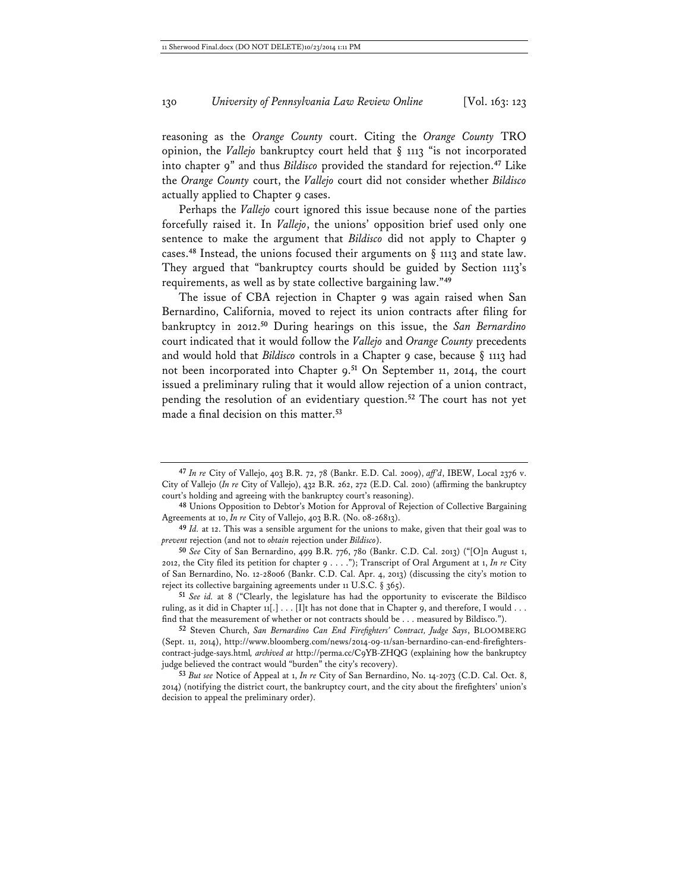reasoning as the *Orange County* court. Citing the *Orange County* TRO opinion, the *Vallejo* bankruptcy court held that § 1113 "is not incorporated into chapter 9" and thus *Bildisco* provided the standard for rejection.**<sup>47</sup>** Like the *Orange County* court, the *Vallejo* court did not consider whether *Bildisco* actually applied to Chapter 9 cases.

Perhaps the *Vallejo* court ignored this issue because none of the parties forcefully raised it. In *Vallejo*, the unions' opposition brief used only one sentence to make the argument that *Bildisco* did not apply to Chapter 9 cases.**<sup>48</sup>** Instead, the unions focused their arguments on § 1113 and state law. They argued that "bankruptcy courts should be guided by Section 1113's requirements, as well as by state collective bargaining law."**<sup>49</sup>**

The issue of CBA rejection in Chapter 9 was again raised when San Bernardino, California, moved to reject its union contracts after filing for bankruptcy in 2012.**<sup>50</sup>** During hearings on this issue, the *San Bernardino* court indicated that it would follow the *Vallejo* and *Orange County* precedents and would hold that *Bildisco* controls in a Chapter 9 case, because § 1113 had not been incorporated into Chapter 9.**<sup>51</sup>** On September 11, 2014, the court issued a preliminary ruling that it would allow rejection of a union contract, pending the resolution of an evidentiary question.**<sup>52</sup>** The court has not yet made a final decision on this matter.**<sup>53</sup>**

**48** Unions Opposition to Debtor's Motion for Approval of Rejection of Collective Bargaining Agreements at 10, *In re* City of Vallejo, 403 B.R. (No. 08-26813).

**<sup>47</sup>** *In re* City of Vallejo, 403 B.R. 72, 78 (Bankr. E.D. Cal. 2009), *aff'd*, IBEW, Local 2376 v. City of Vallejo (*In re* City of Vallejo), 432 B.R. 262, 272 (E.D. Cal. 2010) (affirming the bankruptcy court's holding and agreeing with the bankruptcy court's reasoning).

**<sup>49</sup>** *Id.* at 12. This was a sensible argument for the unions to make, given that their goal was to *prevent* rejection (and not to *obtain* rejection under *Bildisco*).

**<sup>50</sup>** *See* City of San Bernardino, 499 B.R. 776, 780 (Bankr. C.D. Cal. 2013) ("[O]n August 1, 2012, the City filed its petition for chapter 9 . . . ."); Transcript of Oral Argument at 1, *In re* City of San Bernardino, No. 12-28006 (Bankr. C.D. Cal. Apr. 4, 2013) (discussing the city's motion to reject its collective bargaining agreements under 11 U.S.C. § 365).

**<sup>51</sup>** *See id.* at 8 ("Clearly, the legislature has had the opportunity to eviscerate the Bildisco ruling, as it did in Chapter  $11[\ldots]$ ... [I]t has not done that in Chapter 9, and therefore, I would ... find that the measurement of whether or not contracts should be . . . measured by Bildisco.").

**<sup>52</sup>** Steven Church, *San Bernardino Can End Firefighters' Contract, Judge Says*, BLOOMBERG (Sept. 11, 2014), http://www.bloomberg.com/news/2014-09-11/san-bernardino-can-end-firefighterscontract-judge-says.html*, archived at* http://perma.cc/C9YB-ZHQG (explaining how the bankruptcy judge believed the contract would "burden" the city's recovery).

**<sup>53</sup>** *But see* Notice of Appeal at 1, *In re* City of San Bernardino, No. 14-2073 (C.D. Cal. Oct. 8, 2014) (notifying the district court, the bankruptcy court, and the city about the firefighters' union's decision to appeal the preliminary order).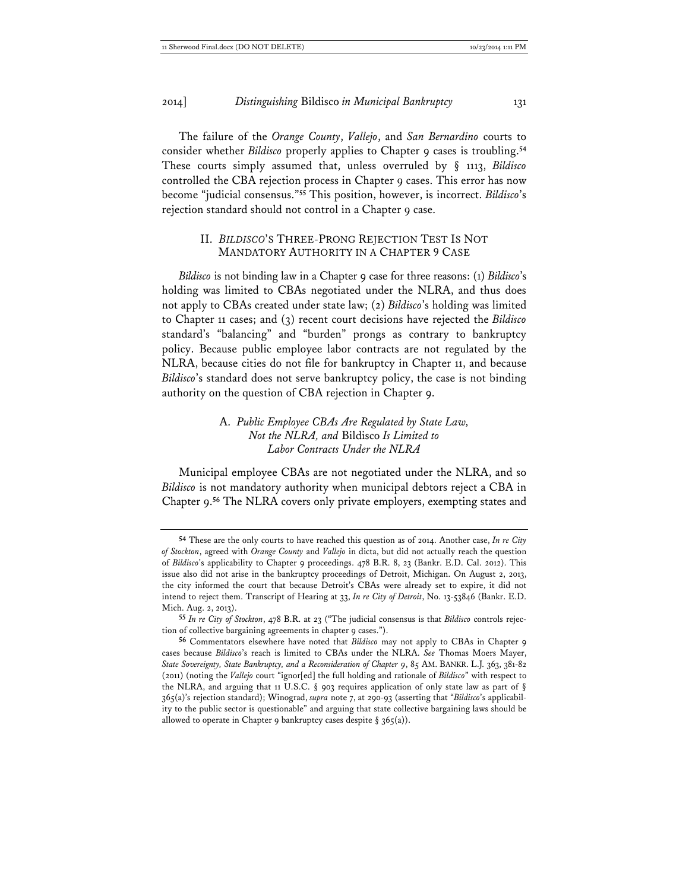The failure of the *Orange County*, *Vallejo*, and *San Bernardino* courts to consider whether *Bildisco* properly applies to Chapter 9 cases is troubling.**<sup>54</sup>** These courts simply assumed that, unless overruled by § 1113, *Bildisco* controlled the CBA rejection process in Chapter 9 cases. This error has now become "judicial consensus."**<sup>55</sup>** This position, however, is incorrect. *Bildisco*'s rejection standard should not control in a Chapter 9 case.

#### II. *BILDISCO*'S THREE-PRONG REJECTION TEST IS NOT MANDATORY AUTHORITY IN A CHAPTER 9 CASE

*Bildisco* is not binding law in a Chapter 9 case for three reasons: (1) *Bildisco*'s holding was limited to CBAs negotiated under the NLRA, and thus does not apply to CBAs created under state law; (2) *Bildisco*'s holding was limited to Chapter 11 cases; and (3) recent court decisions have rejected the *Bildisco* standard's "balancing" and "burden" prongs as contrary to bankruptcy policy. Because public employee labor contracts are not regulated by the NLRA, because cities do not file for bankruptcy in Chapter 11, and because *Bildisco*'s standard does not serve bankruptcy policy, the case is not binding authority on the question of CBA rejection in Chapter 9.

#### A. *Public Employee CBAs Are Regulated by State Law, Not the NLRA, and* Bildisco *Is Limited to Labor Contracts Under the NLRA*

Municipal employee CBAs are not negotiated under the NLRA, and so *Bildisco* is not mandatory authority when municipal debtors reject a CBA in Chapter 9.**<sup>56</sup>** The NLRA covers only private employers, exempting states and

**<sup>54</sup>** These are the only courts to have reached this question as of 2014. Another case, *In re City of Stockton*, agreed with *Orange County* and *Vallejo* in dicta, but did not actually reach the question of *Bildisco*'s applicability to Chapter 9 proceedings. 478 B.R. 8, 23 (Bankr. E.D. Cal. 2012). This issue also did not arise in the bankruptcy proceedings of Detroit, Michigan. On August 2, 2013, the city informed the court that because Detroit's CBAs were already set to expire, it did not intend to reject them. Transcript of Hearing at 33, *In re City of Detroit*, No. 13-53846 (Bankr. E.D. Mich. Aug. 2, 2013).

**<sup>55</sup>** *In re City of Stockton*, 478 B.R. at 23 ("The judicial consensus is that *Bildisco* controls rejection of collective bargaining agreements in chapter 9 cases.").

**<sup>56</sup>** Commentators elsewhere have noted that *Bildisco* may not apply to CBAs in Chapter 9 cases because *Bildisco*'s reach is limited to CBAs under the NLRA. *See* Thomas Moers Mayer, *State Sovereignty, State Bankruptcy, and a Reconsideration of Chapter 9*, 85 AM. BANKR. L.J. 363, 381-82 (2011) (noting the *Vallejo* court "ignor[ed] the full holding and rationale of *Bildisco*" with respect to the NLRA, and arguing that 11 U.S.C. § 903 requires application of only state law as part of § 365(a)'s rejection standard); Winograd, *supra* note 7, at 290-93 (asserting that "*Bildisco*'s applicability to the public sector is questionable" and arguing that state collective bargaining laws should be allowed to operate in Chapter 9 bankruptcy cases despite  $\S$  365(a)).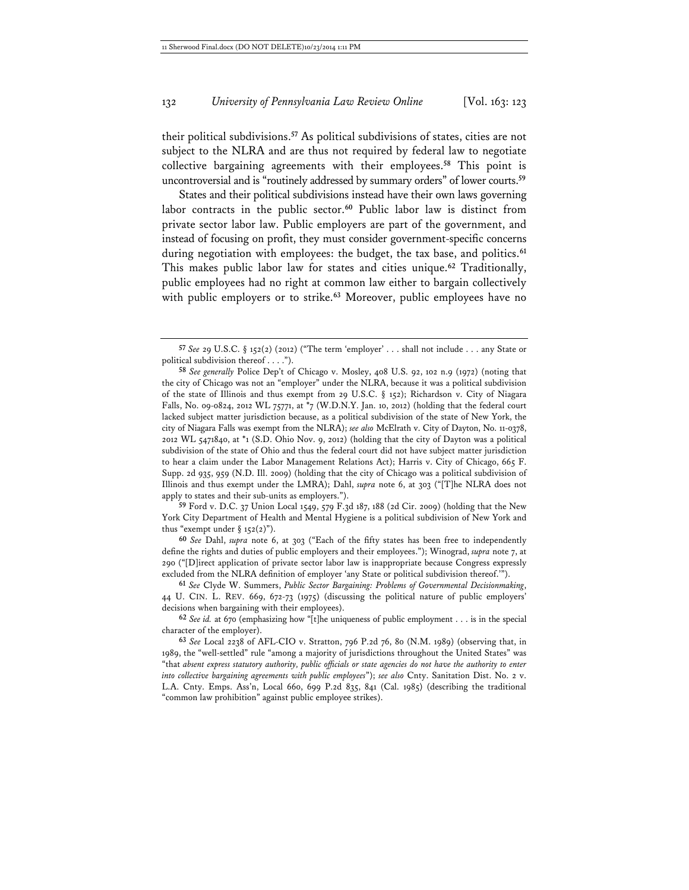their political subdivisions.**<sup>57</sup>** As political subdivisions of states, cities are not subject to the NLRA and are thus not required by federal law to negotiate collective bargaining agreements with their employees.**<sup>58</sup>** This point is uncontroversial and is "routinely addressed by summary orders" of lower courts.**<sup>59</sup>**

States and their political subdivisions instead have their own laws governing labor contracts in the public sector.**<sup>60</sup>** Public labor law is distinct from private sector labor law. Public employers are part of the government, and instead of focusing on profit, they must consider government-specific concerns during negotiation with employees: the budget, the tax base, and politics.**<sup>61</sup>** This makes public labor law for states and cities unique.**<sup>62</sup>** Traditionally, public employees had no right at common law either to bargain collectively with public employers or to strike.**<sup>63</sup>** Moreover, public employees have no

**59** Ford v. D.C. 37 Union Local 1549, 579 F.3d 187, 188 (2d Cir. 2009) (holding that the New York City Department of Health and Mental Hygiene is a political subdivision of New York and thus "exempt under  $\S 152(2)$ ").

**60** *See* Dahl, *supra* note 6, at 303 ("Each of the fifty states has been free to independently define the rights and duties of public employers and their employees."); Winograd, *supra* note 7, at 290 ("[D]irect application of private sector labor law is inappropriate because Congress expressly excluded from the NLRA definition of employer 'any State or political subdivision thereof.'").

**61** *See* Clyde W. Summers, *Public Sector Bargaining: Problems of Governmental Decisionmaking*, 44 U. CIN. L. REV. 669, 672-73 (1975) (discussing the political nature of public employers' decisions when bargaining with their employees).

**62** *See id.* at 670 (emphasizing how "[t]he uniqueness of public employment . . . is in the special character of the employer).

**63** *See* Local 2238 of AFL-CIO v. Stratton, 796 P.2d 76, 80 (N.M. 1989) (observing that, in 1989, the "well-settled" rule "among a majority of jurisdictions throughout the United States" was "that *absent express statutory authority, public officials or state agencies do not have the authority to enter into collective bargaining agreements with public employees*"); *see also* Cnty. Sanitation Dist. No. 2 v. L.A. Cnty. Emps. Ass'n, Local 660, 699 P.2d 835, 841 (Cal. 1985) (describing the traditional "common law prohibition" against public employee strikes).

**<sup>57</sup>** *See* 29 U.S.C. § 152(2) (2012) ("The term 'employer' . . . shall not include . . . any State or political subdivision thereof . . . .").

**<sup>58</sup>** *See generally* Police Dep't of Chicago v. Mosley, 408 U.S. 92, 102 n.9 (1972) (noting that the city of Chicago was not an "employer" under the NLRA, because it was a political subdivision of the state of Illinois and thus exempt from 29 U.S.C. § 152); Richardson v. City of Niagara Falls, No. 09-0824, 2012 WL 75771, at \*7 (W.D.N.Y. Jan. 10, 2012) (holding that the federal court lacked subject matter jurisdiction because, as a political subdivision of the state of New York, the city of Niagara Falls was exempt from the NLRA); *see also* McElrath v. City of Dayton, No. 11-0378, 2012 WL 5471840, at \*1 (S.D. Ohio Nov. 9, 2012) (holding that the city of Dayton was a political subdivision of the state of Ohio and thus the federal court did not have subject matter jurisdiction to hear a claim under the Labor Management Relations Act); Harris v. City of Chicago, 665 F. Supp. 2d 935, 959 (N.D. Ill. 2009) (holding that the city of Chicago was a political subdivision of Illinois and thus exempt under the LMRA); Dahl, *supra* note 6, at 303 ("[T]he NLRA does not apply to states and their sub-units as employers.").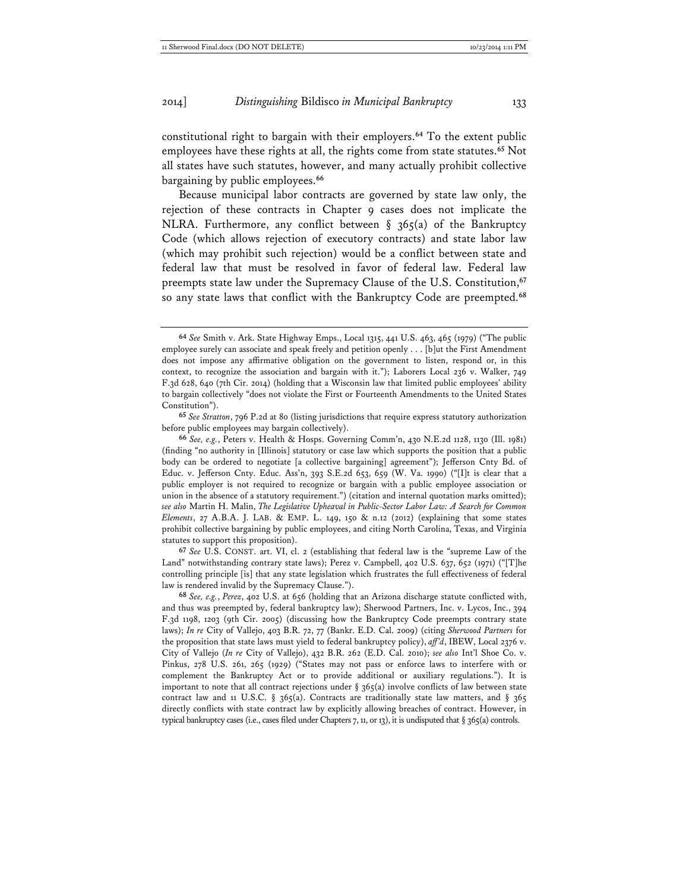constitutional right to bargain with their employers.**<sup>64</sup>** To the extent public employees have these rights at all, the rights come from state statutes.**<sup>65</sup>** Not all states have such statutes, however, and many actually prohibit collective bargaining by public employees.**<sup>66</sup>**

Because municipal labor contracts are governed by state law only, the rejection of these contracts in Chapter 9 cases does not implicate the NLRA. Furthermore, any conflict between  $\S$  365(a) of the Bankruptcy Code (which allows rejection of executory contracts) and state labor law (which may prohibit such rejection) would be a conflict between state and federal law that must be resolved in favor of federal law. Federal law preempts state law under the Supremacy Clause of the U.S. Constitution,**<sup>67</sup>** so any state laws that conflict with the Bankruptcy Code are preempted.**<sup>68</sup>**

**67** *See* U.S. CONST. art. VI, cl. 2 (establishing that federal law is the "supreme Law of the Land" notwithstanding contrary state laws); Perez v. Campbell, 402 U.S. 637, 652 (1971) ("[T]he controlling principle [is] that any state legislation which frustrates the full effectiveness of federal law is rendered invalid by the Supremacy Clause.").

**68** *See, e.g.*, *Perez*, 402 U.S. at 656 (holding that an Arizona discharge statute conflicted with, and thus was preempted by, federal bankruptcy law); Sherwood Partners, Inc. v. Lycos, Inc., 394 F.3d 1198, 1203 (9th Cir. 2005) (discussing how the Bankruptcy Code preempts contrary state laws); *In re* City of Vallejo, 403 B.R. 72, 77 (Bankr. E.D. Cal. 2009) (citing *Sherwood Partners* for the proposition that state laws must yield to federal bankruptcy policy), *aff'd*, IBEW, Local 2376 v. City of Vallejo (*In re* City of Vallejo), 432 B.R. 262 (E.D. Cal. 2010); *see also* Int'l Shoe Co. v. Pinkus, 278 U.S. 261, 265 (1929) ("States may not pass or enforce laws to interfere with or complement the Bankruptcy Act or to provide additional or auxiliary regulations."). It is important to note that all contract rejections under  $\S 365(a)$  involve conflicts of law between state contract law and 11 U.S.C. § 365(a). Contracts are traditionally state law matters, and § 365 directly conflicts with state contract law by explicitly allowing breaches of contract. However, in typical bankruptcy cases (i.e., cases filed under Chapters 7, 11, or 13), it is undisputed that § 365(a) controls.

**<sup>64</sup>** *See* Smith v. Ark. State Highway Emps., Local 1315, 441 U.S. 463, 465 (1979) ("The public employee surely can associate and speak freely and petition openly . . . [b]ut the First Amendment does not impose any affirmative obligation on the government to listen, respond or, in this context, to recognize the association and bargain with it."); Laborers Local 236 v. Walker, 749 F.3d 628, 640 (7th Cir. 2014) (holding that a Wisconsin law that limited public employees' ability to bargain collectively "does not violate the First or Fourteenth Amendments to the United States Constitution").

**<sup>65</sup>** *See Stratton*, 796 P.2d at 80 (listing jurisdictions that require express statutory authorization before public employees may bargain collectively).

**<sup>66</sup>** *See, e.g.*, Peters v. Health & Hosps. Governing Comm'n, 430 N.E.2d 1128, 1130 (Ill. 1981) (finding "no authority in [Illinois] statutory or case law which supports the position that a public body can be ordered to negotiate [a collective bargaining] agreement"); Jefferson Cnty Bd. of Educ. v. Jefferson Cnty. Educ. Ass'n, 393 S.E.2d 653, 659 (W. Va. 1990) ("[I]t is clear that a public employer is not required to recognize or bargain with a public employee association or union in the absence of a statutory requirement.") (citation and internal quotation marks omitted); *see also* Martin H. Malin, *The Legislative Upheaval in Public-Sector Labor Law: A Search for Common Elements*, 27 A.B.A. J. LAB. & EMP. L. 149, 150 & n.12 (2012) (explaining that some states prohibit collective bargaining by public employees, and citing North Carolina, Texas, and Virginia statutes to support this proposition).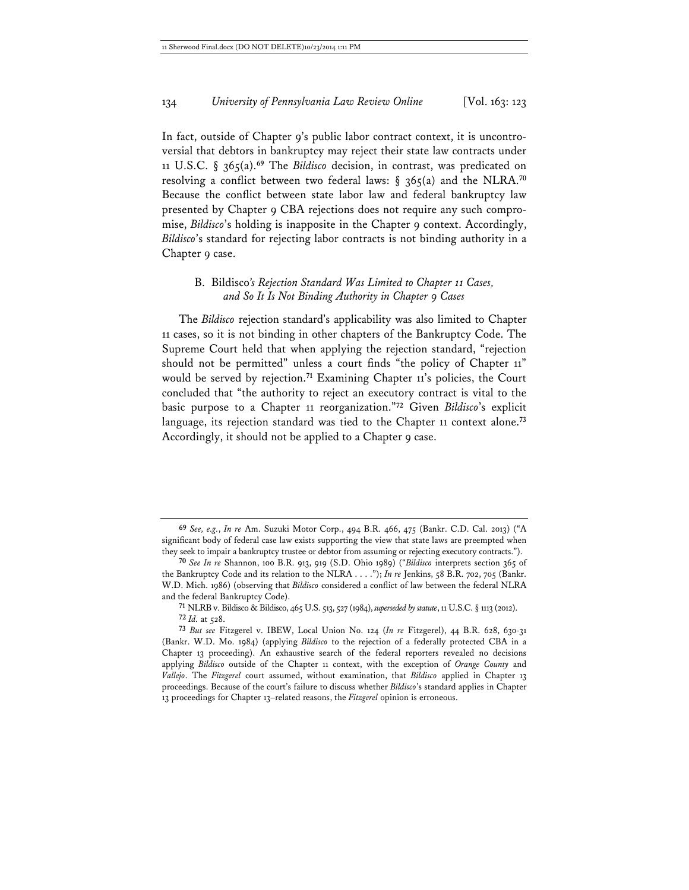In fact, outside of Chapter 9's public labor contract context, it is uncontroversial that debtors in bankruptcy may reject their state law contracts under 11 U.S.C. § 365(a).**<sup>69</sup>** The *Bildisco* decision, in contrast, was predicated on resolving a conflict between two federal laws: § 365(a) and the NLRA.**<sup>70</sup>** Because the conflict between state labor law and federal bankruptcy law presented by Chapter 9 CBA rejections does not require any such compromise, *Bildisco*'s holding is inapposite in the Chapter 9 context. Accordingly, *Bildisco*'s standard for rejecting labor contracts is not binding authority in a Chapter 9 case.

### B. Bildisco*'s Rejection Standard Was Limited to Chapter 11 Cases, and So It Is Not Binding Authority in Chapter 9 Cases*

The *Bildisco* rejection standard's applicability was also limited to Chapter 11 cases, so it is not binding in other chapters of the Bankruptcy Code. The Supreme Court held that when applying the rejection standard, "rejection should not be permitted" unless a court finds "the policy of Chapter 11" would be served by rejection.<sup>71</sup> Examining Chapter 11's policies, the Court concluded that "the authority to reject an executory contract is vital to the basic purpose to a Chapter 11 reorganization."**<sup>72</sup>** Given *Bildisco*'s explicit language, its rejection standard was tied to the Chapter 11 context alone.**<sup>73</sup>** Accordingly, it should not be applied to a Chapter 9 case.

**71** NLRB v. Bildisco & Bildisco, 465 U.S. 513, 527 (1984), *superseded by statute*, 11 U.S.C. § 1113 (2012). **72** *Id.* at 528.

**<sup>69</sup>** *See, e.g.*, *In re* Am. Suzuki Motor Corp., 494 B.R. 466, 475 (Bankr. C.D. Cal. 2013) ("A significant body of federal case law exists supporting the view that state laws are preempted when they seek to impair a bankruptcy trustee or debtor from assuming or rejecting executory contracts.").

**<sup>70</sup>** *See In re* Shannon, 100 B.R. 913, 919 (S.D. Ohio 1989) ("*Bildisco* interprets section 365 of the Bankruptcy Code and its relation to the NLRA . . . ."); *In re* Jenkins, 58 B.R. 702, 705 (Bankr. W.D. Mich. 1986) (observing that *Bildisco* considered a conflict of law between the federal NLRA and the federal Bankruptcy Code).

**<sup>73</sup>** *But see* Fitzgerel v. IBEW, Local Union No. 124 (*In re* Fitzgerel), 44 B.R. 628, 630-31 (Bankr. W.D. Mo. 1984) (applying *Bildisco* to the rejection of a federally protected CBA in a Chapter 13 proceeding). An exhaustive search of the federal reporters revealed no decisions applying *Bildisco* outside of the Chapter 11 context, with the exception of *Orange County* and *Vallejo*. The *Fitzgerel* court assumed, without examination, that *Bildisco* applied in Chapter 13 proceedings. Because of the court's failure to discuss whether *Bildisco*'s standard applies in Chapter 13 proceedings for Chapter 13–related reasons, the *Fitzgerel* opinion is erroneous.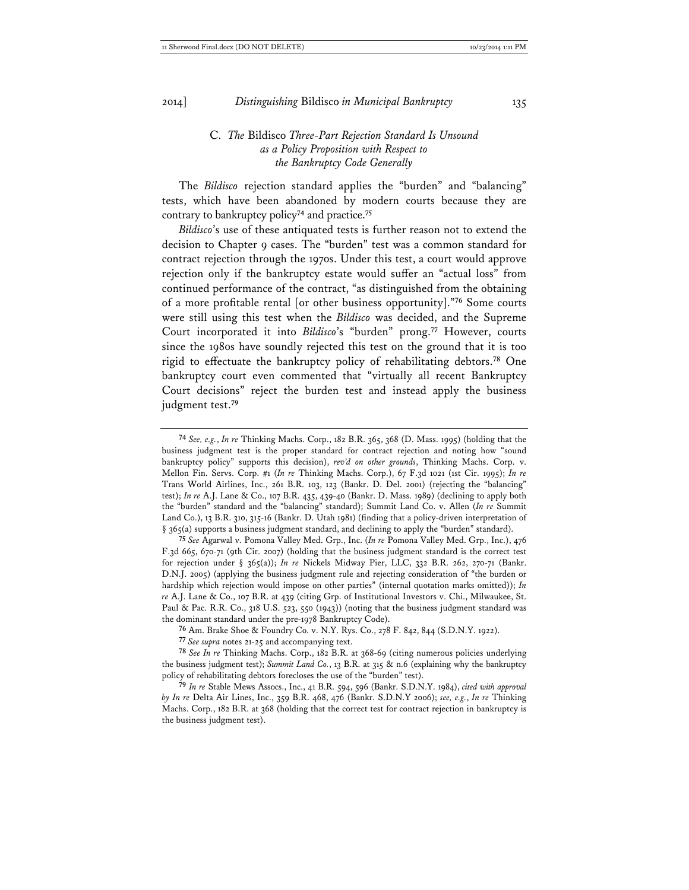### C. *The* Bildisco *Three-Part Rejection Standard Is Unsound as a Policy Proposition with Respect to the Bankruptcy Code Generally*

The *Bildisco* rejection standard applies the "burden" and "balancing" tests, which have been abandoned by modern courts because they are contrary to bankruptcy policy**<sup>74</sup>** and practice.**<sup>75</sup>**

*Bildisco*'s use of these antiquated tests is further reason not to extend the decision to Chapter 9 cases. The "burden" test was a common standard for contract rejection through the 1970s. Under this test, a court would approve rejection only if the bankruptcy estate would suffer an "actual loss" from continued performance of the contract, "as distinguished from the obtaining of a more profitable rental [or other business opportunity]."**<sup>76</sup>** Some courts were still using this test when the *Bildisco* was decided, and the Supreme Court incorporated it into *Bildisco*'s "burden" prong.**<sup>77</sup>** However, courts since the 1980s have soundly rejected this test on the ground that it is too rigid to effectuate the bankruptcy policy of rehabilitating debtors.**<sup>78</sup>** One bankruptcy court even commented that "virtually all recent Bankruptcy Court decisions" reject the burden test and instead apply the business judgment test.**<sup>79</sup>**

**75** *See* Agarwal v. Pomona Valley Med. Grp., Inc. (*In re* Pomona Valley Med. Grp., Inc.), 476 F.3d 665, 670-71 (9th Cir. 2007) (holding that the business judgment standard is the correct test for rejection under § 365(a)); *In re* Nickels Midway Pier, LLC, 332 B.R. 262, 270-71 (Bankr. D.N.J. 2005) (applying the business judgment rule and rejecting consideration of "the burden or hardship which rejection would impose on other parties" (internal quotation marks omitted)); *In re* A.J. Lane & Co., 107 B.R. at 439 (citing Grp. of Institutional Investors v. Chi., Milwaukee, St. Paul & Pac. R.R. Co., 318 U.S. 523, 550 (1943)) (noting that the business judgment standard was the dominant standard under the pre-1978 Bankruptcy Code).

**76** Am. Brake Shoe & Foundry Co. v. N.Y. Rys. Co., 278 F. 842, 844 (S.D.N.Y. 1922).

**77** *See supra* notes 21-25 and accompanying text.

**78** *See In re* Thinking Machs. Corp., 182 B.R. at 368-69 (citing numerous policies underlying the business judgment test); *Summit Land Co.*, 13 B.R. at 315 & n.6 (explaining why the bankruptcy policy of rehabilitating debtors forecloses the use of the "burden" test).

**79** *In re* Stable Mews Assocs., Inc., 41 B.R. 594, 596 (Bankr. S.D.N.Y. 1984), *cited with approval by In re* Delta Air Lines, Inc., 359 B.R. 468, 476 (Bankr. S.D.N.Y 2006); *see, e.g.*, *In re* Thinking Machs. Corp., 182 B.R. at 368 (holding that the correct test for contract rejection in bankruptcy is the business judgment test).

**<sup>74</sup>** *See, e.g.*, *In re* Thinking Machs. Corp., 182 B.R. 365, 368 (D. Mass. 1995) (holding that the business judgment test is the proper standard for contract rejection and noting how "sound bankruptcy policy" supports this decision), *rev'd on other grounds*, Thinking Machs. Corp. v. Mellon Fin. Servs. Corp. #1 (*In re* Thinking Machs. Corp.), 67 F.3d 1021 (1st Cir. 1995); *In re* Trans World Airlines, Inc., 261 B.R. 103, 123 (Bankr. D. Del. 2001) (rejecting the "balancing" test); *In re* A.J. Lane & Co., 107 B.R. 435, 439-40 (Bankr. D. Mass. 1989) (declining to apply both the "burden" standard and the "balancing" standard); Summit Land Co. v. Allen (*In re* Summit Land Co.), 13 B.R. 310, 315-16 (Bankr. D. Utah 1981) (finding that a policy-driven interpretation of § 365(a) supports a business judgment standard, and declining to apply the "burden" standard).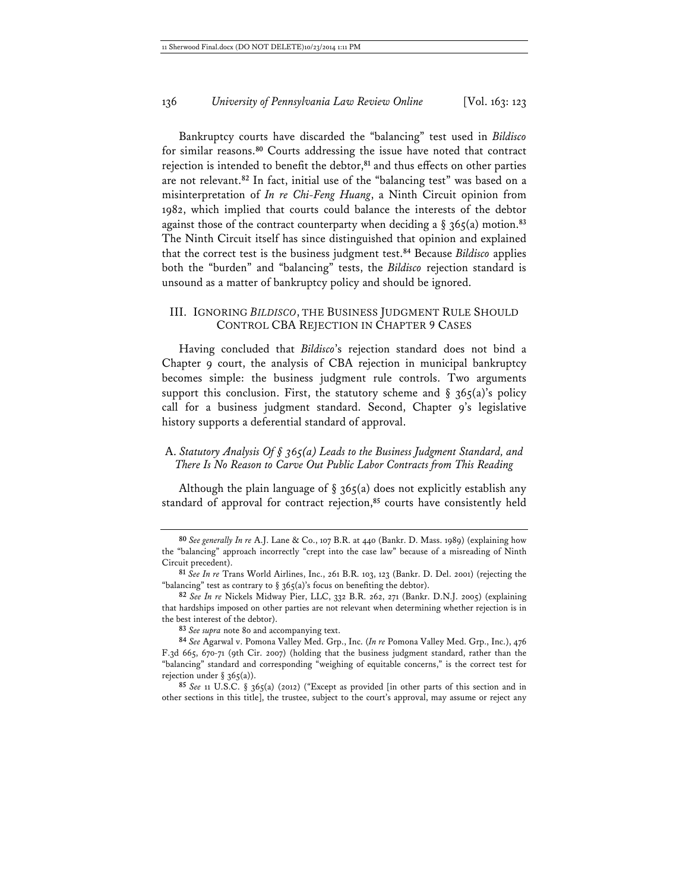Bankruptcy courts have discarded the "balancing" test used in *Bildisco* for similar reasons.**<sup>80</sup>** Courts addressing the issue have noted that contract rejection is intended to benefit the debtor,**<sup>81</sup>** and thus effects on other parties are not relevant.**<sup>82</sup>** In fact, initial use of the "balancing test" was based on a misinterpretation of *In re Chi-Feng Huang*, a Ninth Circuit opinion from 1982, which implied that courts could balance the interests of the debtor against those of the contract counterparty when deciding a  $\S$  365(a) motion.<sup>83</sup> The Ninth Circuit itself has since distinguished that opinion and explained that the correct test is the business judgment test.**<sup>84</sup>** Because *Bildisco* applies both the "burden" and "balancing" tests, the *Bildisco* rejection standard is unsound as a matter of bankruptcy policy and should be ignored.

#### III. IGNORING *BILDISCO*, THE BUSINESS JUDGMENT RULE SHOULD CONTROL CBA REJECTION IN CHAPTER 9 CASES

Having concluded that *Bildisco*'s rejection standard does not bind a Chapter 9 court, the analysis of CBA rejection in municipal bankruptcy becomes simple: the business judgment rule controls. Two arguments support this conclusion. First, the statutory scheme and  $\S$  365(a)'s policy call for a business judgment standard. Second, Chapter 9's legislative history supports a deferential standard of approval.

### A. *Statutory Analysis Of § 365(a) Leads to the Business Judgment Standard, and There Is No Reason to Carve Out Public Labor Contracts from This Reading*

Although the plain language of  $\S$  365(a) does not explicitly establish any standard of approval for contract rejection,**<sup>85</sup>** courts have consistently held

**<sup>80</sup>** *See generally In re* A.J. Lane & Co., 107 B.R. at 440 (Bankr. D. Mass. 1989) (explaining how the "balancing" approach incorrectly "crept into the case law" because of a misreading of Ninth Circuit precedent).

**<sup>81</sup>** *See In re* Trans World Airlines, Inc., 261 B.R. 103, 123 (Bankr. D. Del. 2001) (rejecting the "balancing" test as contrary to  $\S$  365(a)'s focus on benefiting the debtor).

**<sup>82</sup>** *See In re* Nickels Midway Pier, LLC, 332 B.R. 262, 271 (Bankr. D.N.J. 2005) (explaining that hardships imposed on other parties are not relevant when determining whether rejection is in the best interest of the debtor).

**<sup>83</sup>** *See supra* note 80 and accompanying text.

**<sup>84</sup>** *See* Agarwal v. Pomona Valley Med. Grp., Inc. (*In re* Pomona Valley Med. Grp., Inc.), 476 F.3d 665, 670-71 (9th Cir. 2007) (holding that the business judgment standard, rather than the "balancing" standard and corresponding "weighing of equitable concerns," is the correct test for rejection under  $\S$  365(a)).

**<sup>85</sup>** *See* 11 U.S.C. § 365(a) (2012) ("Except as provided [in other parts of this section and in other sections in this title], the trustee, subject to the court's approval, may assume or reject any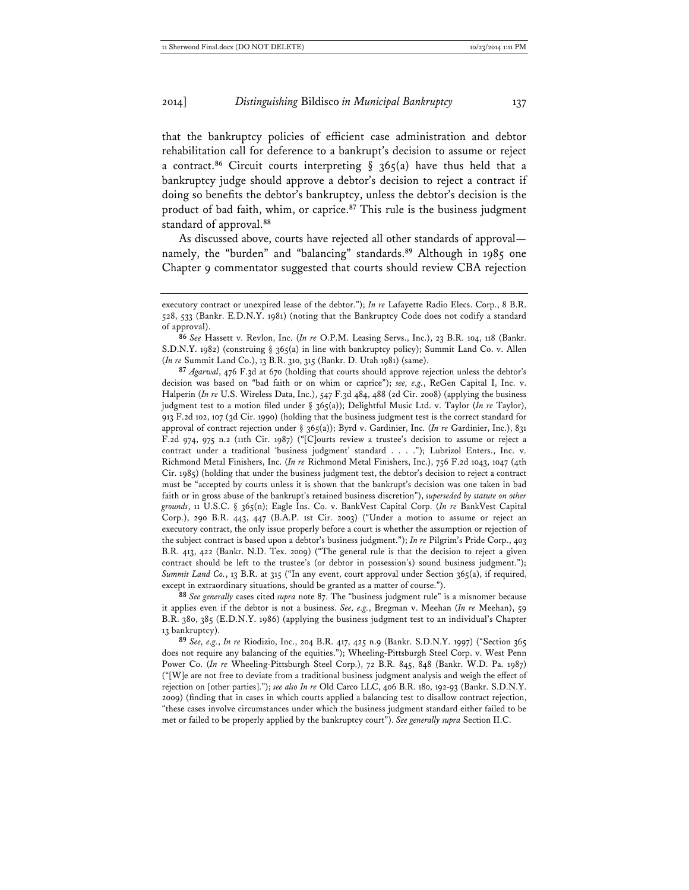that the bankruptcy policies of efficient case administration and debtor rehabilitation call for deference to a bankrupt's decision to assume or reject a contract.<sup>86</sup> Circuit courts interpreting  $\S$  365(a) have thus held that a bankruptcy judge should approve a debtor's decision to reject a contract if doing so benefits the debtor's bankruptcy, unless the debtor's decision is the product of bad faith, whim, or caprice.**<sup>87</sup>** This rule is the business judgment standard of approval.**<sup>88</sup>**

As discussed above, courts have rejected all other standards of approval namely, the "burden" and "balancing" standards.**<sup>89</sup>** Although in 1985 one Chapter 9 commentator suggested that courts should review CBA rejection

**87** *Agarwal*, 476 F.3d at 670 (holding that courts should approve rejection unless the debtor's decision was based on "bad faith or on whim or caprice"); *see, e.g.*, ReGen Capital I, Inc. v. Halperin (*In re* U.S. Wireless Data, Inc.), 547 F.3d 484, 488 (2d Cir. 2008) (applying the business judgment test to a motion filed under § 365(a)); Delightful Music Ltd. v. Taylor (*In re* Taylor), 913 F.2d 102, 107 (3d Cir. 1990) (holding that the business judgment test is the correct standard for approval of contract rejection under § 365(a)); Byrd v. Gardinier, Inc. (*In re* Gardinier, Inc.), 831 F.2d 974, 975 n.2 (11th Cir. 1987) ("[C]ourts review a trustee's decision to assume or reject a contract under a traditional 'business judgment' standard . . . ."); Lubrizol Enters., Inc. v. Richmond Metal Finishers, Inc. (*In re* Richmond Metal Finishers, Inc.), 756 F.2d 1043, 1047 (4th Cir. 1985) (holding that under the business judgment test, the debtor's decision to reject a contract must be "accepted by courts unless it is shown that the bankrupt's decision was one taken in bad faith or in gross abuse of the bankrupt's retained business discretion"), *superseded by statute on other grounds*, 11 U.S.C. § 365(n); Eagle Ins. Co. v. BankVest Capital Corp. (*In re* BankVest Capital Corp.), 290 B.R. 443, 447 (B.A.P. 1st Cir. 2003) ("Under a motion to assume or reject an executory contract, the only issue properly before a court is whether the assumption or rejection of the subject contract is based upon a debtor's business judgment."); *In re* Pilgrim's Pride Corp., 403 B.R. 413, 422 (Bankr. N.D. Tex. 2009) ("The general rule is that the decision to reject a given contract should be left to the trustee's (or debtor in possession's) sound business judgment."); *Summit Land Co.*, 13 B.R. at 315 ("In any event, court approval under Section 365(a), if required, except in extraordinary situations, should be granted as a matter of course.").

**88** *See generally* cases cited *supra* note 87. The "business judgment rule" is a misnomer because it applies even if the debtor is not a business. *See, e.g.*, Bregman v. Meehan (*In re* Meehan), 59 B.R. 380, 385 (E.D.N.Y. 1986) (applying the business judgment test to an individual's Chapter 13 bankruptcy).

**89** *See, e.g.*, *In re* Riodizio, Inc., 204 B.R. 417, 425 n.9 (Bankr. S.D.N.Y. 1997) ("Section 365 does not require any balancing of the equities."); Wheeling-Pittsburgh Steel Corp. v. West Penn Power Co. (*In re* Wheeling-Pittsburgh Steel Corp.), 72 B.R. 845, 848 (Bankr. W.D. Pa. 1987) ("[W]e are not free to deviate from a traditional business judgment analysis and weigh the effect of rejection on [other parties]."); *see also In re* Old Carco LLC, 406 B.R. 180, 192-93 (Bankr. S.D.N.Y. 2009) (finding that in cases in which courts applied a balancing test to disallow contract rejection, "these cases involve circumstances under which the business judgment standard either failed to be met or failed to be properly applied by the bankruptcy court"). *See generally supra* Section II.C.

executory contract or unexpired lease of the debtor."); *In re* Lafayette Radio Elecs. Corp., 8 B.R. 528, 533 (Bankr. E.D.N.Y. 1981) (noting that the Bankruptcy Code does not codify a standard of approval).

**<sup>86</sup>** *See* Hassett v. Revlon, Inc. (*In re* O.P.M. Leasing Servs., Inc.), 23 B.R. 104, 118 (Bankr. S.D.N.Y. 1982) (construing § 365(a) in line with bankruptcy policy); Summit Land Co. v. Allen (*In re* Summit Land Co.), 13 B.R. 310, 315 (Bankr. D. Utah 1981) (same).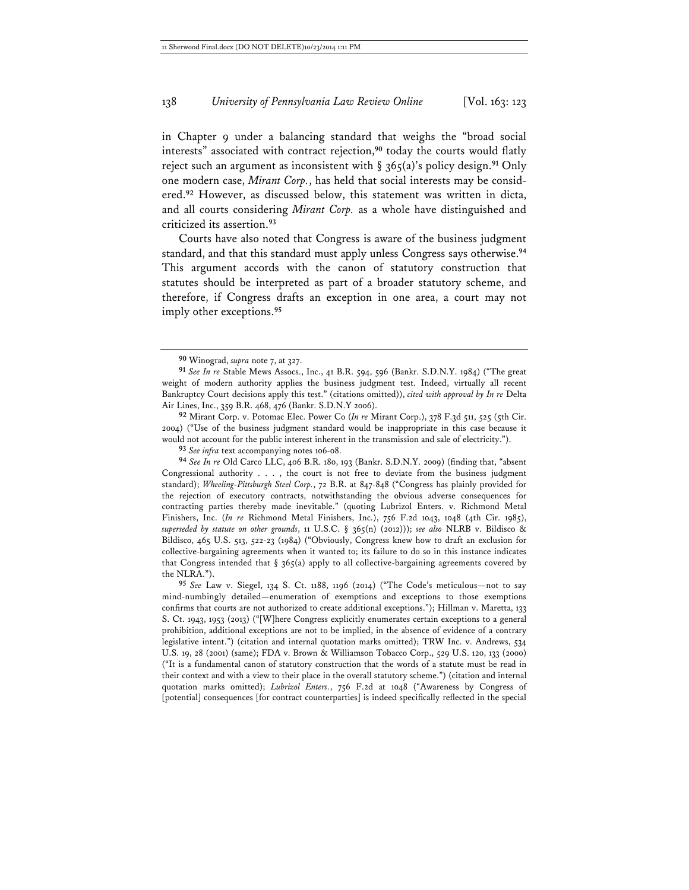in Chapter 9 under a balancing standard that weighs the "broad social interests" associated with contract rejection,**<sup>90</sup>** today the courts would flatly reject such an argument as inconsistent with § 365(a)'s policy design.**<sup>91</sup>** Only one modern case, *Mirant Corp.*, has held that social interests may be considered.**<sup>92</sup>** However, as discussed below, this statement was written in dicta, and all courts considering *Mirant Corp.* as a whole have distinguished and criticized its assertion.**<sup>93</sup>**

Courts have also noted that Congress is aware of the business judgment standard, and that this standard must apply unless Congress says otherwise.**<sup>94</sup>** This argument accords with the canon of statutory construction that statutes should be interpreted as part of a broader statutory scheme, and therefore, if Congress drafts an exception in one area, a court may not imply other exceptions.**<sup>95</sup>**

**92** Mirant Corp. v. Potomac Elec. Power Co (*In re* Mirant Corp.), 378 F.3d 511, 525 (5th Cir. 2004) ("Use of the business judgment standard would be inappropriate in this case because it would not account for the public interest inherent in the transmission and sale of electricity.").

**93** *See infra* text accompanying notes 106-08.

**94** *See In re* Old Carco LLC, 406 B.R. 180, 193 (Bankr. S.D.N.Y. 2009) (finding that, "absent Congressional authority . . . , the court is not free to deviate from the business judgment standard); *Wheeling-Pittsburgh Steel Corp.*, 72 B.R. at 847-848 ("Congress has plainly provided for the rejection of executory contracts, notwithstanding the obvious adverse consequences for contracting parties thereby made inevitable." (quoting Lubrizol Enters. v. Richmond Metal Finishers, Inc. (*In re* Richmond Metal Finishers, Inc.), 756 F.2d 1043, 1048 (4th Cir. 1985), *superseded by statute on other grounds*, 11 U.S.C. § 365(n) (2012))); *see also* NLRB v. Bildisco & Bildisco, 465 U.S. 513, 522-23 (1984) ("Obviously, Congress knew how to draft an exclusion for collective-bargaining agreements when it wanted to; its failure to do so in this instance indicates that Congress intended that  $\S$  365(a) apply to all collective-bargaining agreements covered by the NLRA.").

**95** *See* Law v. Siegel, 134 S. Ct. 1188, 1196 (2014) ("The Code's meticulous—not to say mind-numbingly detailed—enumeration of exemptions and exceptions to those exemptions confirms that courts are not authorized to create additional exceptions."); Hillman v. Maretta, 133 S. Ct. 1943, 1953 (2013) ("[W]here Congress explicitly enumerates certain exceptions to a general prohibition, additional exceptions are not to be implied, in the absence of evidence of a contrary legislative intent.") (citation and internal quotation marks omitted); TRW Inc. v. Andrews, 534 U.S. 19, 28 (2001) (same); FDA v. Brown & Williamson Tobacco Corp., 529 U.S. 120, 133 (2000) ("It is a fundamental canon of statutory construction that the words of a statute must be read in their context and with a view to their place in the overall statutory scheme.") (citation and internal quotation marks omitted); *Lubrizol Enters.*, 756 F.2d at 1048 ("Awareness by Congress of [potential] consequences [for contract counterparties] is indeed specifically reflected in the special

**<sup>90</sup>** Winograd, *supra* note 7, at 327.

**<sup>91</sup>** *See In re* Stable Mews Assocs., Inc., 41 B.R. 594, 596 (Bankr. S.D.N.Y. 1984) ("The great weight of modern authority applies the business judgment test. Indeed, virtually all recent Bankruptcy Court decisions apply this test." (citations omitted)), *cited with approval by In re* Delta Air Lines, Inc., 359 B.R. 468, 476 (Bankr. S.D.N.Y 2006).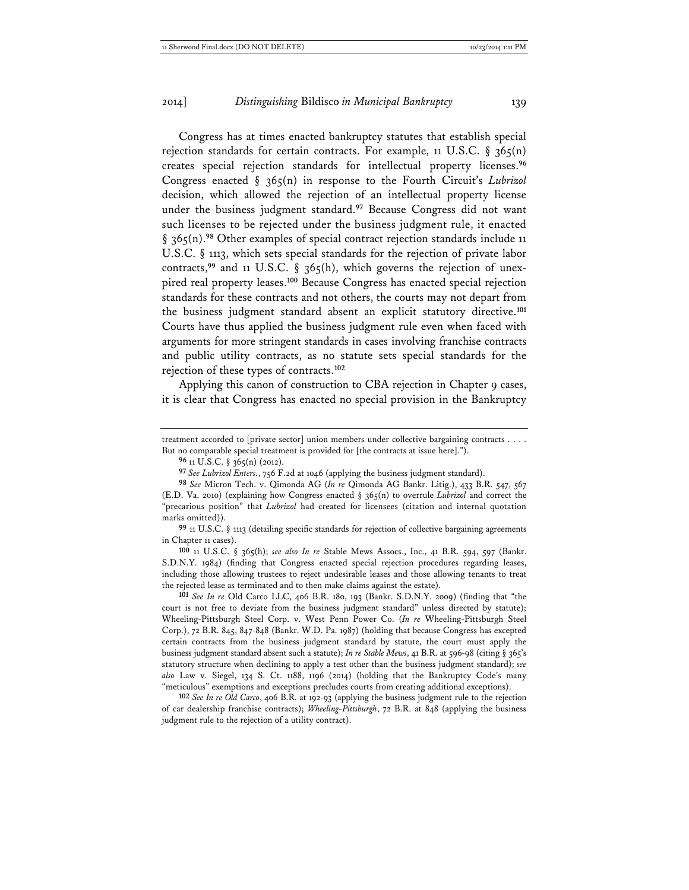Congress has at times enacted bankruptcy statutes that establish special rejection standards for certain contracts. For example, 11 U.S.C. §  $365(n)$ creates special rejection standards for intellectual property licenses.**<sup>96</sup>** Congress enacted § 365(n) in response to the Fourth Circuit's *Lubrizol* decision, which allowed the rejection of an intellectual property license under the business judgment standard.**<sup>97</sup>** Because Congress did not want such licenses to be rejected under the business judgment rule, it enacted § 365(n).**<sup>98</sup>** Other examples of special contract rejection standards include 11 U.S.C. § 1113, which sets special standards for the rejection of private labor contracts,<sup>99</sup> and 11 U.S.C. § 365(h), which governs the rejection of unexpired real property leases.**<sup>100</sup>** Because Congress has enacted special rejection standards for these contracts and not others, the courts may not depart from the business judgment standard absent an explicit statutory directive.**<sup>101</sup>** Courts have thus applied the business judgment rule even when faced with arguments for more stringent standards in cases involving franchise contracts and public utility contracts, as no statute sets special standards for the rejection of these types of contracts.**<sup>102</sup>**

Applying this canon of construction to CBA rejection in Chapter 9 cases, it is clear that Congress has enacted no special provision in the Bankruptcy

treatment accorded to [private sector] union members under collective bargaining contracts . . . . But no comparable special treatment is provided for [the contracts at issue here].").

**96** 11 U.S.C. § 365(n) (2012).

**97** *See Lubrizol Enters.*, 756 F.2d at 1046 (applying the business judgment standard).

**99** 11 U.S.C. § 1113 (detailing specific standards for rejection of collective bargaining agreements in Chapter 11 cases).

**100** 11 U.S.C. § 365(h); *see also In re* Stable Mews Assocs., Inc., 41 B.R. 594, 597 (Bankr. S.D.N.Y. 1984) (finding that Congress enacted special rejection procedures regarding leases, including those allowing trustees to reject undesirable leases and those allowing tenants to treat the rejected lease as terminated and to then make claims against the estate).

**101** *See In re* Old Carco LLC, 406 B.R. 180, 193 (Bankr. S.D.N.Y. 2009) (finding that "the court is not free to deviate from the business judgment standard" unless directed by statute); Wheeling-Pittsburgh Steel Corp. v. West Penn Power Co. (*In re* Wheeling-Pittsburgh Steel Corp.), 72 B.R. 845, 847-848 (Bankr. W.D. Pa. 1987) (holding that because Congress has excepted certain contracts from the business judgment standard by statute, the court must apply the business judgment standard absent such a statute); *In re Stable Mews*, 41 B.R. at 596-98 (citing § 365's statutory structure when declining to apply a test other than the business judgment standard); *see also* Law v. Siegel, 134 S. Ct. 1188, 1196 (2014) (holding that the Bankruptcy Code's many "meticulous" exemptions and exceptions precludes courts from creating additional exceptions).

**102** *See In re Old Carco*, 406 B.R. at 192-93 (applying the business judgment rule to the rejection of car dealership franchise contracts); *Wheeling-Pittsburgh*, 72 B.R. at 848 (applying the business judgment rule to the rejection of a utility contract).

**<sup>98</sup>** *See* Micron Tech. v. Qimonda AG (*In re* Qimonda AG Bankr. Litig.), 433 B.R. 547, 567 (E.D. Va. 2010) (explaining how Congress enacted § 365(n) to overrule *Lubrizol* and correct the "precarious position" that *Lubrizol* had created for licensees (citation and internal quotation marks omitted)).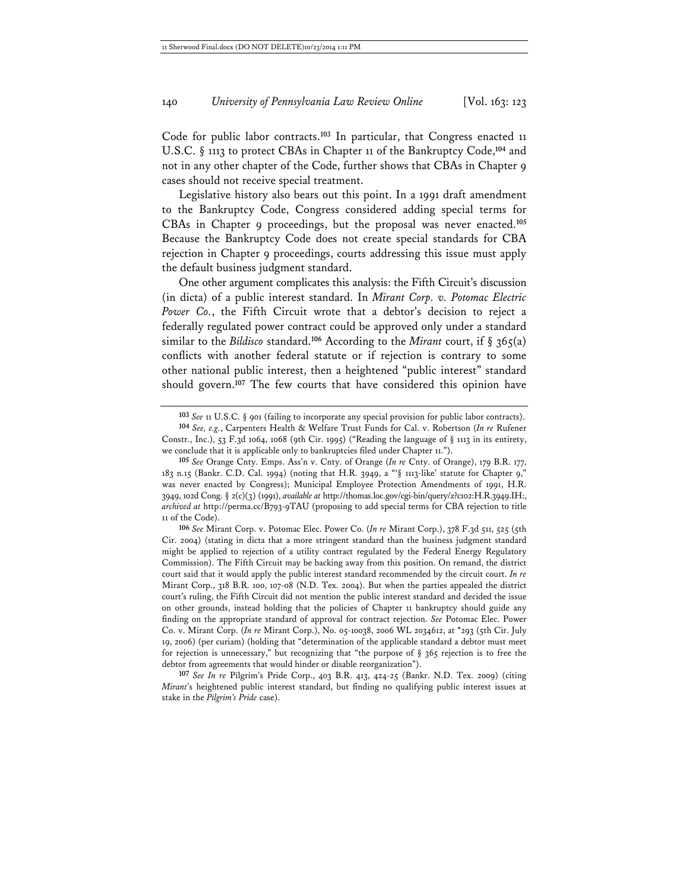Code for public labor contracts.**<sup>103</sup>** In particular, that Congress enacted 11 U.S.C. § 1113 to protect CBAs in Chapter 11 of the Bankruptcy Code,**<sup>104</sup>** and not in any other chapter of the Code, further shows that CBAs in Chapter 9 cases should not receive special treatment.

Legislative history also bears out this point. In a 1991 draft amendment to the Bankruptcy Code, Congress considered adding special terms for CBAs in Chapter 9 proceedings, but the proposal was never enacted.**<sup>105</sup>** Because the Bankruptcy Code does not create special standards for CBA rejection in Chapter 9 proceedings, courts addressing this issue must apply the default business judgment standard.

One other argument complicates this analysis: the Fifth Circuit's discussion (in dicta) of a public interest standard. In *Mirant Corp. v. Potomac Electric Power Co.*, the Fifth Circuit wrote that a debtor's decision to reject a federally regulated power contract could be approved only under a standard similar to the *Bildisco* standard.**<sup>106</sup>** According to the *Mirant* court, if § 365(a) conflicts with another federal statute or if rejection is contrary to some other national public interest, then a heightened "public interest" standard should govern.**<sup>107</sup>** The few courts that have considered this opinion have

**106** *See* Mirant Corp. v. Potomac Elec. Power Co. (*In re* Mirant Corp.), 378 F.3d 511, 525 (5th Cir. 2004) (stating in dicta that a more stringent standard than the business judgment standard might be applied to rejection of a utility contract regulated by the Federal Energy Regulatory Commission). The Fifth Circuit may be backing away from this position. On remand, the district court said that it would apply the public interest standard recommended by the circuit court. *In re* Mirant Corp., 318 B.R. 100, 107-08 (N.D. Tex. 2004). But when the parties appealed the district court's ruling, the Fifth Circuit did not mention the public interest standard and decided the issue on other grounds, instead holding that the policies of Chapter 11 bankruptcy should guide any finding on the appropriate standard of approval for contract rejection. *See* Potomac Elec. Power Co. v. Mirant Corp. (*In re* Mirant Corp.), No. 05-10038, 2006 WL 2034612, at \*293 (5th Cir. July 19, 2006) (per curiam) (holding that "determination of the applicable standard a debtor must meet for rejection is unnecessary," but recognizing that "the purpose of § 365 rejection is to free the debtor from agreements that would hinder or disable reorganization").

**107** *See In re* Pilgrim's Pride Corp., 403 B.R. 413, 424-25 (Bankr. N.D. Tex. 2009) (citing *Mirant*'s heightened public interest standard, but finding no qualifying public interest issues at stake in the *Pilgrim's Pride* case).

**<sup>103</sup>** *See* 11 U.S.C. § 901 (failing to incorporate any special provision for public labor contracts).

**<sup>104</sup>** *See, e.g.*, Carpenters Health & Welfare Trust Funds for Cal. v. Robertson (*In re* Rufener Constr., Inc.), 53 F.3d 1064, 1068 (9th Cir. 1995) ("Reading the language of  $\S$  1113 in its entirety, we conclude that it is applicable only to bankruptcies filed under Chapter 11.").

**<sup>105</sup>** *See* Orange Cnty. Emps. Ass'n v. Cnty. of Orange (*In re* Cnty. of Orange), 179 B.R. 177, 183 n.15 (Bankr. C.D. Cal. 1994) (noting that H.R. 3949, a "'§ 1113-like' statute for Chapter 9," was never enacted by Congress); Municipal Employee Protection Amendments of 1991, H.R. 3949, 102d Cong. § 2(c)(3) (1991), *available at* http://thomas.loc.gov/cgi-bin/query/z?c102:H.R.3949.IH:, *archived at* http://perma.cc/B793-9TAU (proposing to add special terms for CBA rejection to title 11 of the Code).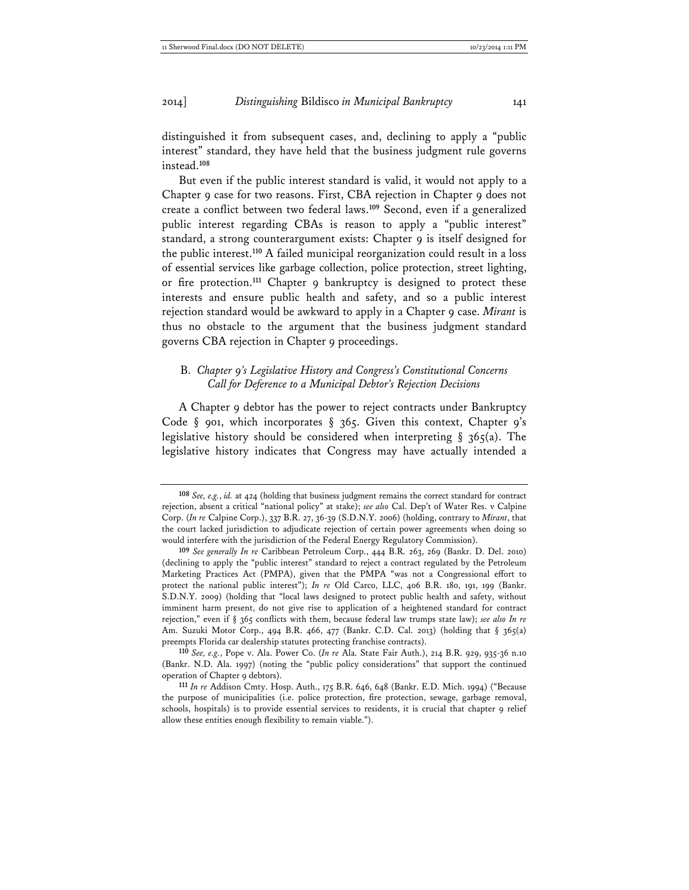distinguished it from subsequent cases, and, declining to apply a "public interest" standard, they have held that the business judgment rule governs instead.**<sup>108</sup>**

But even if the public interest standard is valid, it would not apply to a Chapter 9 case for two reasons. First, CBA rejection in Chapter 9 does not create a conflict between two federal laws.**<sup>109</sup>** Second, even if a generalized public interest regarding CBAs is reason to apply a "public interest" standard, a strong counterargument exists: Chapter 9 is itself designed for the public interest.**<sup>110</sup>** A failed municipal reorganization could result in a loss of essential services like garbage collection, police protection, street lighting, or fire protection.**<sup>111</sup>** Chapter 9 bankruptcy is designed to protect these interests and ensure public health and safety, and so a public interest rejection standard would be awkward to apply in a Chapter 9 case. *Mirant* is thus no obstacle to the argument that the business judgment standard governs CBA rejection in Chapter 9 proceedings.

#### B. *Chapter 9's Legislative History and Congress's Constitutional Concerns Call for Deference to a Municipal Debtor's Rejection Decisions*

A Chapter 9 debtor has the power to reject contracts under Bankruptcy Code § 901, which incorporates § 365. Given this context, Chapter 9's legislative history should be considered when interpreting  $\S$  365(a). The legislative history indicates that Congress may have actually intended a

**<sup>108</sup>** *See, e.g.*, *id.* at 424 (holding that business judgment remains the correct standard for contract rejection, absent a critical "national policy" at stake); *see also* Cal. Dep't of Water Res. v Calpine Corp. (*In re* Calpine Corp.), 337 B.R. 27, 36-39 (S.D.N.Y. 2006) (holding, contrary to *Mirant*, that the court lacked jurisdiction to adjudicate rejection of certain power agreements when doing so would interfere with the jurisdiction of the Federal Energy Regulatory Commission).

**<sup>109</sup>** *See generally In re* Caribbean Petroleum Corp., 444 B.R. 263, 269 (Bankr. D. Del. 2010) (declining to apply the "public interest" standard to reject a contract regulated by the Petroleum Marketing Practices Act (PMPA), given that the PMPA "was not a Congressional effort to protect the national public interest"); *In re* Old Carco, LLC, 406 B.R. 180, 191, 199 (Bankr. S.D.N.Y. 2009) (holding that "local laws designed to protect public health and safety, without imminent harm present, do not give rise to application of a heightened standard for contract rejection," even if § 365 conflicts with them, because federal law trumps state law); *see also In re* Am. Suzuki Motor Corp., 494 B.R. 466, 477 (Bankr. C.D. Cal. 2013) (holding that  $\S$  365(a) preempts Florida car dealership statutes protecting franchise contracts).

**<sup>110</sup>** *See, e.g.*, Pope v. Ala. Power Co. (*In re* Ala. State Fair Auth.), 214 B.R. 929, 935-36 n.10 (Bankr. N.D. Ala. 1997) (noting the "public policy considerations" that support the continued operation of Chapter 9 debtors).

**<sup>111</sup>** *In re* Addison Cmty. Hosp. Auth., 175 B.R. 646, 648 (Bankr. E.D. Mich. 1994) ("Because the purpose of municipalities (i.e. police protection, fire protection, sewage, garbage removal, schools, hospitals) is to provide essential services to residents, it is crucial that chapter 9 relief allow these entities enough flexibility to remain viable.").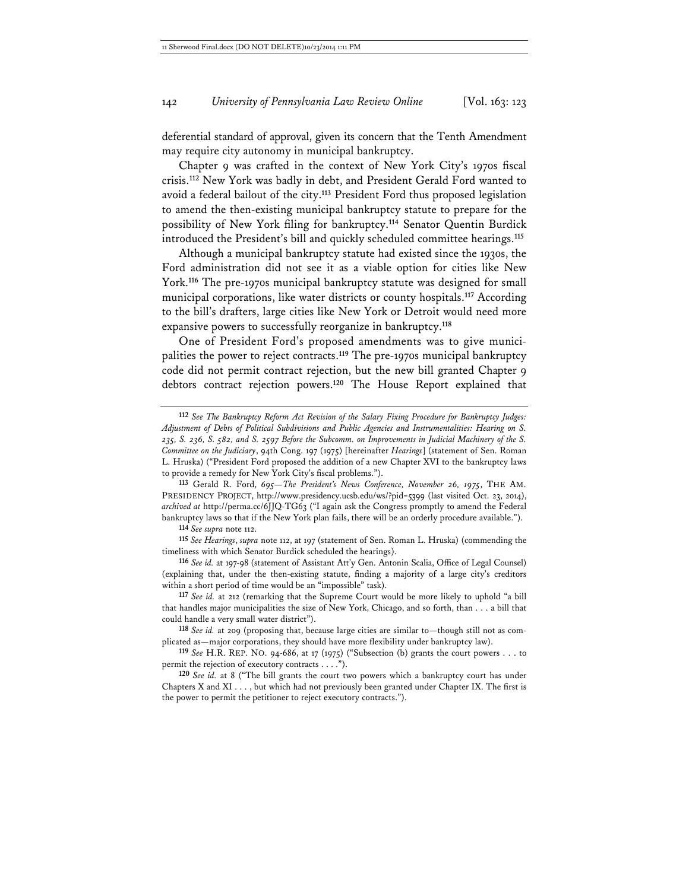deferential standard of approval, given its concern that the Tenth Amendment may require city autonomy in municipal bankruptcy.

Chapter 9 was crafted in the context of New York City's 1970s fiscal crisis.**<sup>112</sup>** New York was badly in debt, and President Gerald Ford wanted to avoid a federal bailout of the city.**<sup>113</sup>** President Ford thus proposed legislation to amend the then-existing municipal bankruptcy statute to prepare for the possibility of New York filing for bankruptcy.**<sup>114</sup>** Senator Quentin Burdick introduced the President's bill and quickly scheduled committee hearings.**<sup>115</sup>**

Although a municipal bankruptcy statute had existed since the 1930s, the Ford administration did not see it as a viable option for cities like New York.**<sup>116</sup>** The pre-1970s municipal bankruptcy statute was designed for small municipal corporations, like water districts or county hospitals.**<sup>117</sup>** According to the bill's drafters, large cities like New York or Detroit would need more expansive powers to successfully reorganize in bankruptcy.**<sup>118</sup>**

One of President Ford's proposed amendments was to give municipalities the power to reject contracts.**<sup>119</sup>** The pre-1970s municipal bankruptcy code did not permit contract rejection, but the new bill granted Chapter 9 debtors contract rejection powers.**<sup>120</sup>** The House Report explained that

**113** Gerald R. Ford, *695—The President's News Conference, November 26, 1975*, THE AM. PRESIDENCY PROJECT, http://www.presidency.ucsb.edu/ws/?pid=5399 (last visited Oct. 23, 2014), *archived at* http://perma.cc/6JJQ-TG63 ("I again ask the Congress promptly to amend the Federal bankruptcy laws so that if the New York plan fails, there will be an orderly procedure available.").

**114** *See supra* note 112.

**115** *See Hearings*, *supra* note 112, at 197 (statement of Sen. Roman L. Hruska) (commending the timeliness with which Senator Burdick scheduled the hearings).

**116** *See id.* at 197-98 (statement of Assistant Att'y Gen. Antonin Scalia, Office of Legal Counsel) (explaining that, under the then-existing statute, finding a majority of a large city's creditors within a short period of time would be an "impossible" task).

**117** *See id.* at 212 (remarking that the Supreme Court would be more likely to uphold "a bill that handles major municipalities the size of New York, Chicago, and so forth, than . . . a bill that could handle a very small water district").

**118** *See id.* at 209 (proposing that, because large cities are similar to—though still not as complicated as—major corporations, they should have more flexibility under bankruptcy law).

**119** *See* H.R. REP. NO. 94-686, at 17 (1975) ("Subsection (b) grants the court powers . . . to permit the rejection of executory contracts . . . .").

**120** *See id.* at 8 ("The bill grants the court two powers which a bankruptcy court has under Chapters X and XI . . . , but which had not previously been granted under Chapter IX. The first is the power to permit the petitioner to reject executory contracts.").

**<sup>112</sup>** *See The Bankruptcy Reform Act Revision of the Salary Fixing Procedure for Bankruptcy Judges: Adjustment of Debts of Political Subdivisions and Public Agencies and Instrumentalities: Hearing on S. 235, S. 236, S. 582, and S. 2597 Before the Subcomm. on Improvements in Judicial Machinery of the S. Committee on the Judiciary*, 94th Cong. 197 (1975) [hereinafter *Hearings*] (statement of Sen. Roman L. Hruska) ("President Ford proposed the addition of a new Chapter XVI to the bankruptcy laws to provide a remedy for New York City's fiscal problems.").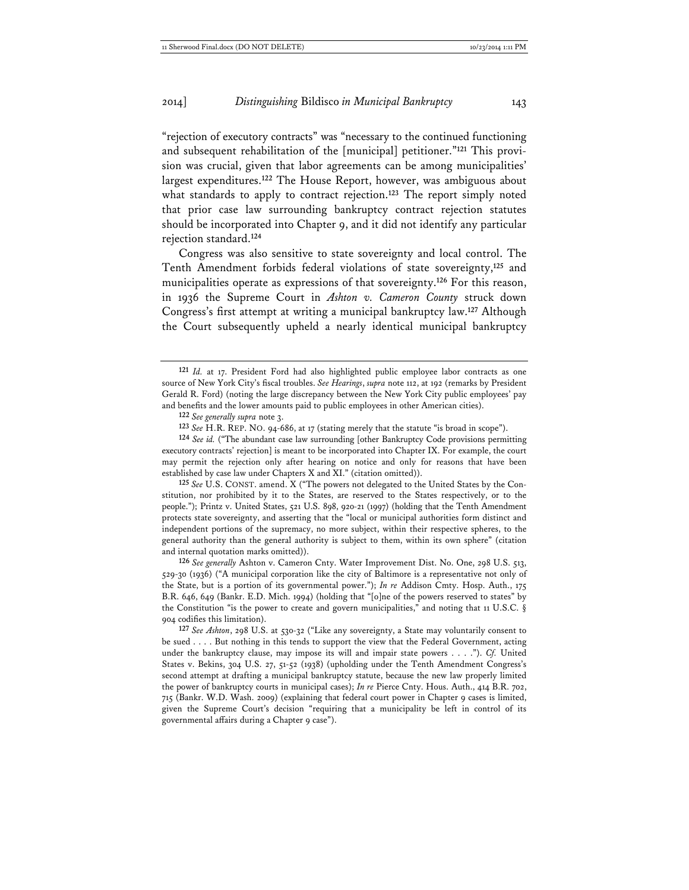"rejection of executory contracts" was "necessary to the continued functioning and subsequent rehabilitation of the [municipal] petitioner."**121** This provision was crucial, given that labor agreements can be among municipalities' largest expenditures.**<sup>122</sup>** The House Report, however, was ambiguous about what standards to apply to contract rejection.**<sup>123</sup>** The report simply noted that prior case law surrounding bankruptcy contract rejection statutes should be incorporated into Chapter 9, and it did not identify any particular rejection standard.**<sup>124</sup>**

Congress was also sensitive to state sovereignty and local control. The Tenth Amendment forbids federal violations of state sovereignty,**<sup>125</sup>** and municipalities operate as expressions of that sovereignty.**<sup>126</sup>** For this reason, in 1936 the Supreme Court in *Ashton v. Cameron County* struck down Congress's first attempt at writing a municipal bankruptcy law.**<sup>127</sup>** Although the Court subsequently upheld a nearly identical municipal bankruptcy

**122** *See generally supra* note 3.

**123** *See* H.R. REP. NO. 94-686, at 17 (stating merely that the statute "is broad in scope").

**124** *See id.* ("The abundant case law surrounding [other Bankruptcy Code provisions permitting executory contracts' rejection] is meant to be incorporated into Chapter IX. For example, the court may permit the rejection only after hearing on notice and only for reasons that have been established by case law under Chapters X and XI." (citation omitted)).

**125** *See* U.S. CONST. amend. X ("The powers not delegated to the United States by the Constitution, nor prohibited by it to the States, are reserved to the States respectively, or to the people."); Printz v. United States, 521 U.S. 898, 920-21 (1997) (holding that the Tenth Amendment protects state sovereignty, and asserting that the "local or municipal authorities form distinct and independent portions of the supremacy, no more subject, within their respective spheres, to the general authority than the general authority is subject to them, within its own sphere" (citation and internal quotation marks omitted)).

**126** *See generally* Ashton v. Cameron Cnty. Water Improvement Dist. No. One, 298 U.S. 513, 529-30 (1936) ("A municipal corporation like the city of Baltimore is a representative not only of the State, but is a portion of its governmental power."); *In re* Addison Cmty. Hosp. Auth., 175 B.R. 646, 649 (Bankr. E.D. Mich. 1994) (holding that "[o]ne of the powers reserved to states" by the Constitution "is the power to create and govern municipalities," and noting that 11 U.S.C. § 904 codifies this limitation).

**127** *See Ashton*, 298 U.S. at 530-32 ("Like any sovereignty, a State may voluntarily consent to be sued . . . . But nothing in this tends to support the view that the Federal Government, acting under the bankruptcy clause, may impose its will and impair state powers . . . ."). *Cf.* United States v. Bekins, 304 U.S. 27, 51-52 (1938) (upholding under the Tenth Amendment Congress's second attempt at drafting a municipal bankruptcy statute, because the new law properly limited the power of bankruptcy courts in municipal cases); *In re* Pierce Cnty. Hous. Auth., 414 B.R. 702, 715 (Bankr. W.D. Wash. 2009) (explaining that federal court power in Chapter 9 cases is limited, given the Supreme Court's decision "requiring that a municipality be left in control of its governmental affairs during a Chapter 9 case").

**<sup>121</sup>** *Id.* at 17. President Ford had also highlighted public employee labor contracts as one source of New York City's fiscal troubles. *See Hearings*, *supra* note 112, at 192 (remarks by President Gerald R. Ford) (noting the large discrepancy between the New York City public employees' pay and benefits and the lower amounts paid to public employees in other American cities).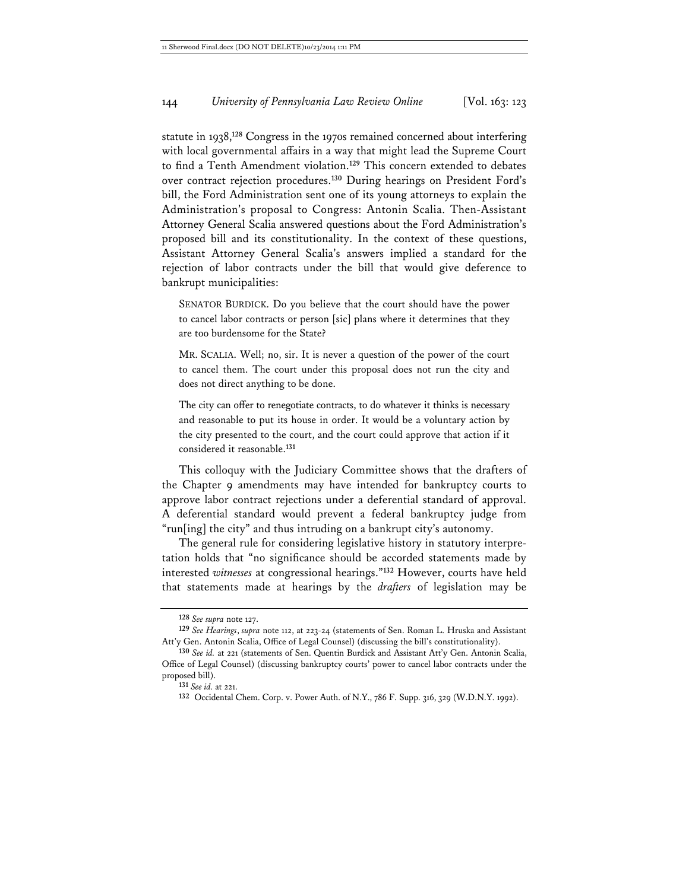statute in 1938,**<sup>128</sup>** Congress in the 1970s remained concerned about interfering with local governmental affairs in a way that might lead the Supreme Court to find a Tenth Amendment violation.**<sup>129</sup>** This concern extended to debates over contract rejection procedures.**<sup>130</sup>** During hearings on President Ford's bill, the Ford Administration sent one of its young attorneys to explain the Administration's proposal to Congress: Antonin Scalia. Then-Assistant Attorney General Scalia answered questions about the Ford Administration's proposed bill and its constitutionality. In the context of these questions, Assistant Attorney General Scalia's answers implied a standard for the rejection of labor contracts under the bill that would give deference to bankrupt municipalities:

SENATOR BURDICK. Do you believe that the court should have the power to cancel labor contracts or person [sic] plans where it determines that they are too burdensome for the State?

MR. SCALIA. Well; no, sir. It is never a question of the power of the court to cancel them. The court under this proposal does not run the city and does not direct anything to be done.

The city can offer to renegotiate contracts, to do whatever it thinks is necessary and reasonable to put its house in order. It would be a voluntary action by the city presented to the court, and the court could approve that action if it considered it reasonable.**<sup>131</sup>**

This colloquy with the Judiciary Committee shows that the drafters of the Chapter 9 amendments may have intended for bankruptcy courts to approve labor contract rejections under a deferential standard of approval. A deferential standard would prevent a federal bankruptcy judge from "run[ing] the city" and thus intruding on a bankrupt city's autonomy.

The general rule for considering legislative history in statutory interpretation holds that "no significance should be accorded statements made by interested *witnesses* at congressional hearings."**<sup>132</sup>** However, courts have held that statements made at hearings by the *drafters* of legislation may be

**<sup>128</sup>** *See supra* note 127.

**<sup>129</sup>** *See Hearings*, *supra* note 112, at 223-24 (statements of Sen. Roman L. Hruska and Assistant Att'y Gen. Antonin Scalia, Office of Legal Counsel) (discussing the bill's constitutionality).

**<sup>130</sup>** *See id.* at 221 (statements of Sen. Quentin Burdick and Assistant Att'y Gen. Antonin Scalia, Office of Legal Counsel) (discussing bankruptcy courts' power to cancel labor contracts under the proposed bill).

**<sup>131</sup>** *See id.* at 221.

**<sup>132</sup>** Occidental Chem. Corp. v. Power Auth. of N.Y., 786 F. Supp. 316, 329 (W.D.N.Y. 1992).